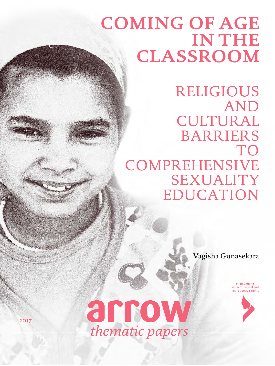# **COMING OF AGE IN THE CLASSROOM**

RELIGIOUS AND CULTURAL BARRIERS TO **COMPREHENSIVE** SEXUALITY EDUCATION

Vagisha Gunasekara

championing<br>women's sexual and reproductive rights



2017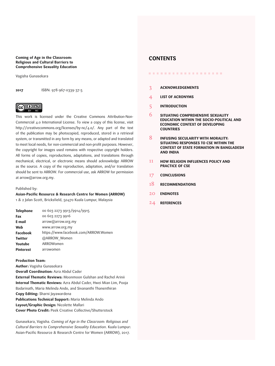#### <span id="page-1-0"></span>**Coming of Age in the Classroom: Religious and Cultural Barriers to Comprehensive Sexuality Education**

Vagisha Gunasekara

**2017** ISBN: 978-967-0339-37-5

# $\circledcirc$   $\circledcirc$

This work is licensed under the Creative Commons Attribution-Non-Commercial 4.0 International License. To view a copy of this license, visit <http://creativecommons.org/licenses/by-nc/4.0/>. Any part of the text of the publication may be photocopied, reproduced, stored in a retrieval system, or transmitted in any form by any means, or adapted and translated to meet local needs, for non-commercial and non-profit purposes. However, the copyright for images used remains with respective copyright holders. All forms of copies, reproductions, adaptations, and translations through mechanical, electrical, or electronic means should acknowledge ARROW as the source. A copy of the reproduction, adaptation, and/or translation should be sent to ARROW. For commercial use, ask ARROW for permission at arrow@arrow.org.my.

#### Published by:

#### **Asian-Pacific Resource & Research Centre for Women (ARROW)**

1 & 2 Jalan Scott, Bricksfield, 50470 Kuala Lumpur, Malaysia

| 00 603 2273 9913/9914/9915           |
|--------------------------------------|
| 00 603 2273 9916                     |
| arrow@arrow.org.my                   |
| www.arrow.org.my                     |
| https://www.facebook.com/ARROW.Women |
| @ARROW Women                         |
| ARROWomen                            |
| arrowomen                            |
|                                      |

#### **Production Team:**

**Author:** Vagisha Gunasekara **Overall Coordination:** Azra Abdul Cader **External Thematic Reviews:** Moonmoon Gulshan and Rachel Arinii **Internal Thematic Reviews:** Azra Abdul Cader, Hwei Mian Lim, Pooja Badarinath, Maria Melinda Ando, and Sivananthi Thanenthiran **Copy Editing:** Sharni Jayawardena **Publications Technical Support:** Maria Melinda Ando **Layout/Graphic Design:** Nicolette Mallari **Cover Photo Credit:** Peek Creative Collective/Shutterstock

Gunasekara, Vagisha. *Coming of Age in the Classroom: Religious and Cultural Barriers to Comprehensive Sexuality Education*. Kuala Lumpur: Asian-Pacific Resource & Research Centre for Women (ARROW), 2017.

### **CONTENTS**

- ...................
- 3 **[ACKNOWLEDGEMENTS](#page-2-0)**
- 4 **[LIST OF ACRONYMS](#page-3-0)**
- 5 **[INTRODUCTION](#page-4-0)**
- 6 **[SITUATING COMPREHENSIVE SEXUALITY](#page-5-0)  [EDUCATION WITHIN THE SOCIO-POLITICAL AND](#page-5-0)  [ECONOMIC CONTEXT OF DEVELOPING](#page-5-0)  [COUNTRIES](#page-5-0)**
- 8 **[INFUSING SECULARITY WITH MORALITY:](#page-7-0)  [SITUATING RESPONSES TO CSE WITHIN THE](#page-7-0)  [CONTEXT OF STATE FORMATION IN BANGLADESH](#page-7-0)  [AND INDIA](#page-7-0)**
- 11 **[HOW RELIGION INFLUENCES POLICY AND](#page-10-0)  [PRACTICE OF CSE](#page-10-0)**
- 17 **[CONCLUSIONS](#page-16-0)**
- 18 **[RECOMMENDATIONS](#page-17-0)**
- $20<sup>2</sup>$ **[ENDNOTES](#page-19-0)**
- 24 **[REFERENCES](#page-23-0)**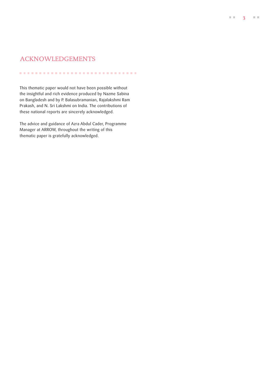### <span id="page-2-0"></span>ACKNOWLEDGEMENTS

This thematic paper would not have been possible without the insightful and rich evidence produced by Nazme Sabina on Bangladesh and by P. Balasubramanian, Rajalakshmi Ram Prakash, and N. Sri Lakshmi on India. The contributions of these national reports are sincerely acknowledged.

.............................

The advice and guidance of Azra Abdul Cader, Programme Manager at ARROW, throughout the writing of this thematic paper is gratefully acknowledged.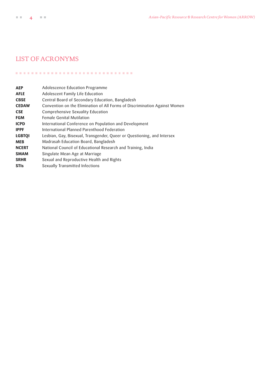### <span id="page-3-0"></span>[LIST OF ACRONYMS](#page-1-0)

..............................

**AEP AFLE CBSE CEDAW CSE FGM ICPD IPPF LGBTQI MEB NCERT SMAM SRHR STIs** Adolescence Education Programme Adolescent Family Life Education Central Board of Secondary Education, Bangladesh Convention on the Elimination of All Forms of Discrimination Against Women Comprehensive Sexuality Education Female Genital Mutilation International Conference on Population and Development International Planned Parenthood Federation Lesbian, Gay, Bisexual, Transgender, Queer or Questioning, and Intersex Madrasah Education Board, Bangladesh National Council of Educational Research and Training, India Singulate Mean Age at Marriage Sexual and Reproductive Health and Rights Sexually Transmitted Infections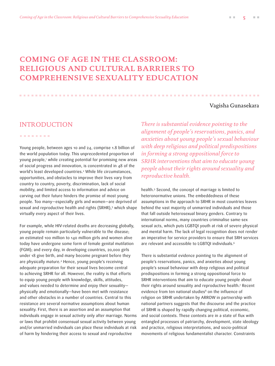# <span id="page-4-0"></span>**[COMING OF AGE IN THE CLASSROOM:](#page-1-0) [RELIGIOUS AND CULTURAL BARRIERS TO](#page-1-0)  COMPREHENSIVE SEXUALITY EDUCATION**

#### Vagisha Gunasekara

### INTRODUCTION

. . . . . . . .

Young people, between ages 10 and 24, comprise 1.8 billion of the world population today. This unprecedented proportion of young people,1 while creating potential for promising new areas of social progress and innovation, is concentrated in 48 of the world's least developed countries.2 While life circumstances, opportunities, and obstacles to improve their lives vary from country to country, poverty, discrimination, lack of social mobility, and limited access to information and advice on carving out their future hinders the promise of most young people. Too many—especially girls and women—are deprived of sexual and reproductive health and rights (SRHR),3 which shape virtually every aspect of their lives.

For example, while HIV-related deaths are decreasing globally, young people remain particularly vulnerable to the disease; an estimated 100 million to 140 million girls and women alive today have undergone some form of female genital mutilation (FGM); and every day, in developing countries, 20,000 girls under 18 give birth, and many become pregnant before they are physically mature.4 Hence, young people's receiving adequate preparation for their sexual lives become central to achieving SRHR for all. However, the reality is that efforts to equip young people with knowledge, skills, attitudes, and values needed to determine and enjoy their sexuality physically and emotionally—have been met with resistance and other obstacles in a number of countries. Central to this resistance are several normative assumptions about human sexuality. First, there is an assertion and an assumption that individuals engage in sexual activity only after marriage. Norms or laws that prohibit consensual sexual activity between young and/or unmarried individuals can place these individuals at risk of harm by hindering their access to sexual and reproductive

*There is substantial evidence pointing to the alignment of people's reservations, panics, and anxieties about young people's sexual behaviour with deep religious and political predispositions in forming a strong oppositional force to SRHR interventions that aim to educate young people about their rights around sexuality and reproductive health.*

health.<sup>5</sup> Second, the concept of marriage is limited to heteronormative unions. The embeddedness of these assumptions in the approach to SRHR in most countries leaves behind the vast majority of unmarried individuals and those that fall outside heterosexual binary genders. Contrary to international norms, many countries criminalise same-sex sexual acts, which puts LGBTQI youth at risk of severe physical and mental harm. The lack of legal recognition does not render an imperative for service providers to ensure that SRH services are relevant and accessible to LGBTQI individuals.<sup>6</sup>

There is substantial evidence pointing to the alignment of people's reservations, panics, and anxieties about young people's sexual behaviour with deep religious and political predispositions in forming a strong oppositional force to SRHR interventions that aim to educate young people about their rights around sexuality and reproductive health.7 Recent evidence from ten national studies<sup>8</sup> on the influence of religion on SRHR undertaken by ARROW in partnership with national partners suggests that the discourse and the practice of SRHR is shaped by rapidly changing political, economic, and social contexts. These contexts are in a state of flux with entangled processes of patriarchy, development, state ideology and practice, religious interpretations, and socio-political movements of religious fundamentalist character. Constraints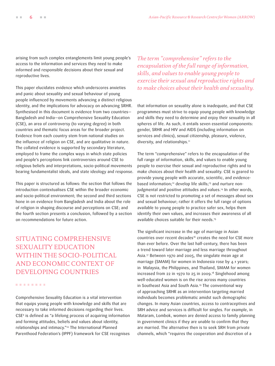<span id="page-5-0"></span>arising from such complex entanglements limit young people's access to the information and services they need to make informed and responsible decisions about their sexual and reproductive lives.

This paper elucidates evidence which underscores anxieties and panic about sexuality and sexual behaviour of young people influenced by movements advancing a distinct religious identity, and the implications for advocacy on advancing SRHR. Synthesised in this document is evidence from two countries— Bangladesh and India—on Comprehensive Sexuality Education (CSE), an area of controversy (to varying degree) in both countries and thematic focus areas for the broader project. Evidence from each country stem from national studies on the influence of religion on CSE, and are qualitative in nature. The collated evidence is supported by secondary literature, employed to frame the complex ways in which state policies and people's perceptions link controversies around CSE to religious beliefs and interpretations, socio-political movements bearing fundamentalist ideals, and state ideology and response.

This paper is structured as follows: the section that follows the introduction contextualises CSE within the broader economic and socio-political environment; the second and third sections hone in on evidence from Bangladesh and India about the role of religion in shaping discourse and perceptions on CSE; and the fourth section presents a conclusion, followed by a section on recommendations for future action.

SITUATING COMPREHENSIVE SEXUALITY EDUCATION WITHIN THE SOCIO-POLITICAL AND ECONOMIC CONTEXT OF DEVELOPING COUNTRIES

........

Comprehensive Sexuality Education is a vital intervention that equips young people with knowledge and skills that are necessary to take informed decisions regarding their lives. CSE9 is defined as "a lifelong process of acquiring information and forming attitudes, beliefs and values about identity, relationships and intimacy."10 The International Planned Parenthood Federation's (IPPF) framework for CSE recognises *The term "comprehensive" refers to the encapsulation of the full range of information, skills, and values to enable young people to exercise their sexual and reproductive rights and to make choices about their health and sexuality.* 

that information on sexuality alone is inadequate, and that CSE programmes must strive to equip young people with knowledge and skills they need to determine and enjoy their sexuality in all spheres of life. As such, it entails seven essential components: gender, SRHR and HIV and AIDS (including information on services and clinics), sexual citizenship, pleasure, violence, diversity, and relationships.<sup>11</sup>

The term "comprehensive" refers to the encapsulation of the full range of information, skills, and values to enable young people to exercise their sexual and reproductive rights and to make choices about their health and sexuality. CSE is geared to provide young people with accurate, scientific, and evidencebased information;<sup>12</sup> develop life skills;<sup>13</sup> and nurture nonjudgmental and positive attitudes and values.<sup>14</sup> In other words, CSE is not restricted to promoting a set of messages about sex and sexual behaviour; rather it offers the full range of options available to young people to practice safer sex, helps them identify their own values, and increases their awareness of all available choices suitable for their needs.15

The significant increase in the age of marriage in Asian countries over recent decades<sup>16</sup> creates the need for CSE more than ever before. Over the last half-century, there has been a trend toward later marriage and less marriage throughout Asia.17 Between 1970 and 2005, the singulate mean age at marriage (SMAM) for women in Indonesia rose by 4.1 years; in Malaysia, the Philippines, and Thailand, SMAM for women increased from 22 in 1970 to 25 in 2009.18 Singlehood among well-educated women is on the rise across many countries in Southeast Asia and South Asia.19 The conventional way of approaching SRHR as an intervention targeting married individuals becomes problematic amidst such demographic changes. In many Asian countries, access to contraceptives and SRH advice and services is difficult for singles. For example, in Mataram, Lombok, women are denied access to family planning in government clinics if they are unable to confirm that they are married. The alternative then is to seek SRH from private channels, which "requires the cooperation and discretion of a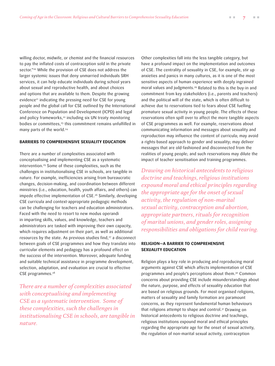willing doctor, midwife, or chemist and the financial resources to pay the inflated costs of contraception sold in the private sector."<sup>20</sup> While the provision of CSE does not address the larger systemic issues that deny unmarried individuals SRH services, it can help educate individuals during school years about sexual and reproductive health, and about choices and options that are available to them. Despite the growing evidence<sup>21</sup> indicating the pressing need for CSE for young people and the global call for CSE outlined by the International Conference on Population and Development (ICPD) and legal and policy frameworks,<sup>22</sup> including six UN treaty monitoring bodies or committees,<sup>23</sup> this commitment remains unfulfilled in many parts of the world.<sup>24</sup>

#### **BARRIERS TO COMPREHENSIVE SEXUALITY EDUCATION**

There are a number of complexities associated with conceptualising and implementing CSE as a systematic intervention.25 Some of these complexities, such as the challenges in institutionalising CSE in schools, are tangible in nature. For example, inefficiencies arising from bureaucratic changes, decision-making, and coordination between different ministries (i.e., education, health, youth affairs, and others) can impede effective implementation of CSE.<sup>26</sup> Similarly, developing CSE curricula and context-appropriate pedagogic methods can be challenging for teachers and education administrators. Faced with the need to resort to new modus operandi in imparting skills, values, and knowledge, teachers and administrators are tasked with improving their own capacity, which requires adjustment on their part, as well as additional resources by the state. As previous studies find,<sup>27</sup> a disconnect between goals of CSE programmes and how they translate into curricular elements and pedagogy has a profound effect on the success of the intervention. Moreover, adequate funding and suitable technical assistance in programme development, selection, adaptation, and evaluation are crucial to effective CSE programmes.<sup>28</sup>

*There are a number of complexities associated with conceptualising and implementing CSE as a systematic intervention. Some of these complexities, such the challenges in institutionalising CSE in schools, are tangible in nature.* 

Other complexities fall into the less tangible category, but have a profound impact on the implementation and outcomes of CSE. The centrality of sexuality in CSE, for example, stir up anxieties and panics in many cultures, as it is one of the most sensitive aspects of human experience with deeply ingrained moral values and judgments.<sup>29</sup> Related to this is the buy-in and commitment from key stakeholders (i.e., parents and teachers) and the political will of the state, which is often difficult to achieve due to reservations tied to fears about CSE fuelling premature sexual activity in young people. The effects of these reservations often spill over to affect the more tangible aspects of CSE programmes as well. For example, reservations about communicating information and messages about sexuality and reproduction may influence the content of curricula; may avoid a rights-based approach to gender and sexuality; may deliver messages that are old-fashioned and disconnected from the realities of young people; and such reservations may dilute the impact of teacher sensitisation and training programmes.

*Drawing on historical antecedents to religious doctrine and teachings, religious institutions expound moral and ethical principles regarding the appropriate age for the onset of sexual activity, the regulation of non-marital sexual activity, contraception and abortion, appropriate partners, rituals for recognition of marital unions, and gender roles, assigning responsibilities and obligations for child rearing.*

### **RELIGION—A BARRIER TO COMPREHENSIVE SEXUALITY EDUCATION**

Religion plays a key role in producing and reproducing moral arguments against CSE which affects implementation of CSE programmes and people's perceptions about them.30 Common concerns about providing CSE include misunderstandings about the nature, purpose, and effects of sexuality education that are based on religious grounds. For most organised religions, matters of sexuality and family formation are paramount concerns, as they represent fundamental human behaviours that religions attempt to shape and control.31 Drawing on historical antecedents to religious doctrine and teachings, religious institutions expound moral and ethical principles regarding the appropriate age for the onset of sexual activity, the regulation of non-marital sexual activity, contraception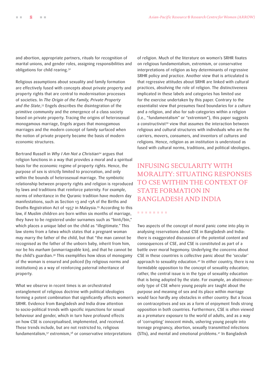<span id="page-7-0"></span>and abortion, appropriate partners, rituals for recognition of marital unions, and gender roles, assigning responsibilities and obligations for child rearing.32

Religious assumptions about sexuality and family formation are effectively fused with concepts about private property and property rights that are central to modernisation processes of societies. In *The Origin of the Family, Private Property and the State*, 33 Engels describes the disintegration of the primitive community and the emergence of a class society based on private property. Tracing the origins of heterosexual monogamous marriage, Engels argues that monogamous marriages and the modern concept of family surfaced when the notion of private property became the basis of modern economic structures.

Bertrand Russell in *Why I Am Not a Christian*34 argues that religion functions in a way that provides a moral and a spiritual basis for the economic regime of property rights. Hence, the purpose of sex is strictly limited to procreation, and only within the bounds of heterosexual marriage. The symbiotic relationship between property rights and religion is reproduced by laws and traditions that reinforce paternity. For example, norms of inheritance in the Quranic tradition have modern day manifestations, such as Section 13 and 13A of the Births and Deaths Registration Act of 1957 in Malaysia.35 According to this law, if Muslim children are born within six months of marriage, they have to be registered under surnames such as "binti/bin," which places a unique label on the child as "illegitimate." This law stems from a fatwa which states that a pregnant woman may marry the father of the child, but that "the man cannot be recognised as the father of the unborn baby, inherit from him, nor be his *marham* (unmarriageable kin), and that he cannot be the child's guardian.36 This exemplifies how ideas of monogamy of the woman is ensured and policed (by religious norms and institutions) as a way of reinforcing paternal inheritance of property.

What we observe in recent times is an orchestrated entanglement of religious doctrine with political ideologies forming a potent combination that significantly affects women's SRHR. Evidence from Bangladesh and India draw attention to socio-political trends with specific injunctions for sexual behaviour and gender, which in turn have profound effects on how CSE is conceptualised, implemented, and received. These trends include, but are not restricted to, religious fundamentalism,37 extremism,38 or conservative interpretations

of religion. Much of the literature on women's SRHR fixates on religious fundamentalism, extremism, or conservative interpretations of religion as key determinants of regressive SRHR policy and practice. Another view that is articulated is that regressive attitudes about SRHR are linked with cultural practices, absolving the role of religion. The distinctiveness implicated in these labels and categories has limited use for the exercise undertaken by this paper. Contrary to the essentialist view that presumes fixed boundaries for a culture and a religion, and also for sub-categories within a religion (i.e., "fundamentalism" or "extremism"), this paper suggests a constructivist<sup>39</sup> view that assumes the interaction between religious and cultural structures with individuals who are the carriers, movers, consumers, and inventors of cultures and religions. Hence, religion as an institution is understood as fused with cultural norms, traditions, and political ideologies.

## [INFUSING SECULARITY WITH](#page-1-0)  [MORALITY: SITUATING RESPONSES](#page-1-0)  [TO CSE WITHIN THE CONTEXT OF](#page-1-0)  [STATE FORMATION IN](#page-1-0)  [BANGLADESH AND INDIA](#page-1-0)

#### . . . . . . . .

Two aspects of the concept of moral panic come into play in analysing reservations about CSE in Bangladesh and India: there is exaggerated discussion of the potential content and consequences of CSE, and CSE is constituted as part of a battle over moral hegemony. Underlying the concerns about CSE in these countries is collective panic about the 'secular' approach to sexuality education.<sup>40</sup> In either country, there is no formidable opposition to the concept of sexuality education; rather, the central issue is in the type of sexuality education that is being adopted by the state. For example, an abstinenceonly type of CSE where young people are taught about the purpose and meaning of sex and its place within marriage would face hardly any obstacles in either country. But a focus on contraceptives and sex as a form of enjoyment finds strong opposition in both countries. Furthermore, CSE is often viewed as a premature exposure to the world of adults, and as a way of 'corrupting' innocent minds, ushering young people into teenage pregnancy, abortion, sexually transmitted infections (STIs), and mental and emotional problems.41 In Bangladesh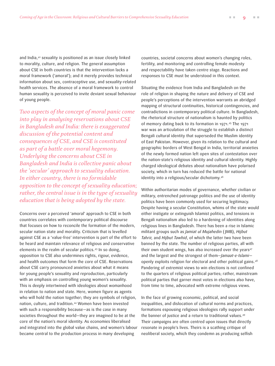and India,<sup>42</sup> sexuality is positioned as an issue closely linked to morality, culture, and religion. The general assumption about CSE in both countries is that the intervention lacks a moral framework ('amoral'); and it merely provides technical information about sex, contraceptive use, and sexuality-related health services. The absence of a moral framework to control human sexuality is perceived to invite deviant sexual behaviour of young people.

*Two aspects of the concept of moral panic come into play in analysing reservations about CSE in Bangladesh and India: there is exaggerated discussion of the potential content and consequences of CSE, and CSE is constituted as part of a battle over moral hegemony. Underlying the concerns about CSE in Bangladesh and India is collective panic about the 'secular' approach to sexuality education. In either country, there is no formidable opposition to the concept of sexuality education; rather, the central issue is in the type of sexuality education that is being adopted by the state.* 

Concerns over a perceived 'amoral' approach to CSE in both countries correlates with contemporary political discourse that focuses on how to reconcile the formation of the modern, secular nation state and morality. Criticism that is levelled against CSE as a 'value-free' intervention is part of the effort to be heard and maintain relevance of religious and conservative elements in the realm of secular politics.43 In so doing, opposition to CSE also undermines rights, rigour, evidence, and health outcomes that form the core of CSE. Reservations about CSE carry pronounced anxieties about what it means for young people's sexuality and reproduction, particularly with an emphasis on controlling young women's sexuality. This is deeply intertwined with ideologies about womanhood in relation to nation and state. Here, women figure as agents who will hold the nation together; they are symbols of religion, nation, culture, and tradition.44 Women have been invested with such a responsibility because—as is the case in many societies throughout the world—they are imagined to be at the core of the nation's moral identity. As economies liberalised and integrated into the global value chains, and women's labour became central to the production process in many developing

countries, societal concerns about women's changing roles, fertility, and monitoring and controlling female modesty and respectability have taken centre stage. Reactions and responses to CSE must be understood in this context.

Situating the evidence from India and Bangladesh on the role of religion in shaping the nature and delivery of CSE and people's perceptions of the intervention warrants an abridged mapping of structural continuities, historical contingencies, and contradictions in contemporary political culture. In Bangladesh, the rhetorical structure of nationalism is haunted by politics of memory dating back to its formation in 1971.45 The 1971 war was an articulation of the struggle to establish a distinct Bengali cultural identity that superseded the Muslim identity of East Pakistan. However, given its relation to the cultural and geographic borders of West Bengal in India, territorial anxieties of the newly formed nation left open sites of contestation over the nation-state's religious identity and cultural identity. Highly charged ideological debates about nationalism have polarised society, which in turn has reduced the battle for national identity into a religious/secular dichotomy.46

Within authoritarian modes of governance, whether civilian or military, entrenched patronage politics and the use of identity politics have been commonly used for securing legitimacy. Despite having a secular Constitution, whims of the state would either instigate or extinguish Islamist politics, and tensions in Bengali nationalism also led to a hardening of identities along religious lines in Bangladesh. There has been a rise in Islamic militant groups such as *Jamiat ul Mujahedin* ( JMB), *Hijbut Tahrir,* and *Hijbut Tawhid*, of which the latter two have been banned by the state. The number of religious parties, all with their own student wings, has also increased over the years<sup>47</sup> and the largest and the strongest of them—*Jamaat-e-Islami* openly exploits religion for electoral and other political gains.48 Pandering of extremist views to win elections is not confined to the quarters of religious political parties; rather, mainstream political parties that garner most votes in elections also have, from time to time, advocated with extreme religious views.

In the face of growing economic, political, and social inequalities, and dislocation of cultural norms and practices, formations espousing religious ideologies rally support under the banner of justice and a return to traditional values.49 Their campaigns are often centred upon issues that directly resonate in people's lives. Theirs is a scathing critique of neoliberal society, which they condemn as producing selfish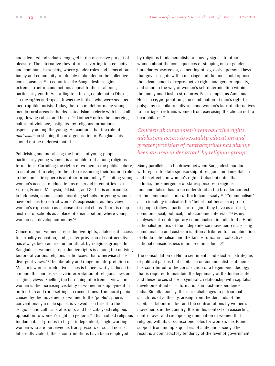and alienated individuals, engaged in the obsessive pursuit of pleasure. The alternative they offer is reverting to a collectivist and communalist society, where gender roles and ideas about family and community are deeply embedded in the collective consciousness.50 In countries like Bangladesh, religious extremist rhetoric and actions appeal to the rural poor, particularly youth. According to a foreign diplomat in Dhaka, "in the 1960s and 1970s, it was the leftists who were seen as incorruptible purists. Today, the role model for many young men in rural areas is the dedicated Islamic cleric with his skull cap, flowing robes, and beard."<sup>51</sup> Lintner<sup>52</sup> notes the emerging culture of violence, instigated by religious formations, especially among the young. He cautions that the role of *madrasahs* in shaping the next generation of Bangladeshis should not be underestimated.

Politicising and moralising the bodies of young people, particularly young women, is a notable trait among religious formations. Curtailing the rights of women in the public sphere, in an attempt to relegate them to reassuming their 'natural role' in the domestic sphere is another broad policy.53 Limiting young women's access to education as observed in countries like Eritrea, France, Malaysia, Pakistan, and Serbia is an example. In Indonesia, some Islamic boarding schools for young women have policies to restrict women's expression, as they view women's expression as a cause of social chaos. There is deep mistrust of schools as a place of emancipation, where young women can develop autonomy.54

Concern about women's reproductive rights, adolescent access to sexuality education, and greater provision of contraceptives has always been an area under attack by religious groups. In Bangladesh, women's reproductive rights is among the unifying factors of various religious orthodoxies that otherwise share divergent views.55 The liberality and range on interpretation of Muslim law on reproductive issues is hence swiftly reduced to a monolithic and repressive interpretation of religious laws and religious views. Fuelling the hardening of extremist views on women is the increasing visibility of women in employment in both urban and rural settings in recent times. The moral panic caused by the movement of women to the 'public' sphere, conventionally a male space, is viewed as a threat to the religious and cultural status quo, and has catalysed religious opposition to women's rights in general.56 This had led religious fundamentalist groups to target independent, single working women who are perceived as transgressors of social norms. Inherently violent, these confrontations have been employed

by religious fundamentalists to convey signals to other women about the consequences of stepping out of gender boundaries. Moreover, cementing of regressive personal laws that govern rights within marriage and the household oppose the advancement of reproductive rights and gender equality, and stand in the way of women's self-determination within the family and kinship structures. For example, as Amin and Hossain (1996) point out, the combination of men's right to polygamy or unilateral divorce and women's lack of alternatives to marriage, restrains women from exercising the choice not to bear children.57

*Concern about women's reproductive rights, adolescent access to sexuality education and greater provision of contraceptives has always been an area under attack by religious groups.* 

Many parallels can be drawn between Bangladesh and India with regard to state sponsorship of religious fundamentalism and its effects on women's rights. Chhachhi notes that in India, the emergence of state-sponsored religious fundamentalism has to be understood in the broader context of the communalisation of the Indian society.58 "Communalism" as an ideology inculcates the "belief that because a group of people follow a particular religion, they have as a result, common social, political, and economic interests."59 Many analyses link contemporary communalism in India to the Hindu nationalist politics of the independence movement; increasing communalism and casteism is often attributed to a combination of Hindu nationalism and the failure to foster a collective national consciousness in post-colonial India.<sup>60</sup>

The consolidation of Hindu sentiments and electoral strategies of political parties that capitalise on communalist sentiments has contributed to the construction of a hegemonic ideology that is required to maintain the legitimacy of the Indian state, and these forces share a symbiotic relationship with capitalist development-led class formations in post-independence India. Simultaneously, there are challenges to patriarchal structures of authority, arising from the demands of the capitalist labour market and the confrontations by women's movements in the country. It is in this context of reasserting control over and re-imposing domination of women that religion, with its circumscribed roles for women, has found support from multiple quarters of state and society. The result is a contradictory tendency at the level of government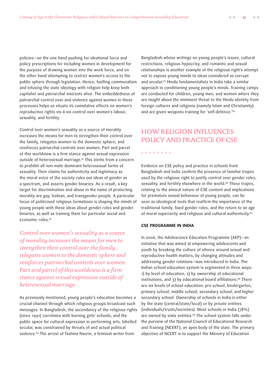<span id="page-10-0"></span>policies—on the one hand pushing for ideational force and policy prescriptions for including women in development for the purpose of drawing women into the work force, and on the other hand attempting to restrict women's access to the public sphere through legislation. Hence, fuelling communalism and infusing the state ideology with religion help keep both capitalist and patriarchal interests alive. The embeddedness of patriarchal control over and violence against women in these processes helps us situate its cumulative effects on women's reproductive rights vis-à-vis control over women's labour, sexuality, and fertility.

Control over women's sexuality as a source of morality increases the means for men to strengthen their control over the family, relegates women to the domestic sphere, and reinforces patriarchal controls over women. Part and parcel of this worldview is a firm stance against sexual expression outside of heterosexual marriage.61 This stems from a concern to prohibit all non-male-dominant heterosexual forms of sexuality. Their claims for authenticity and legitimacy as the moral voice of the society rules out ideas of gender as a spectrum, and asserts gender binaries. As a result, a key target for discrimination and abuse in the name of protecting morality are gay, lesbian, and transgender people. A particular focus of politicised religious formations is shaping the minds of young people with these ideas about gender roles and gender binaries, as well as training them for particular social and economic roles.<sup>62</sup>

*Control over women's sexuality as a source of morality increases the means for men to strengthen their control over the family, relegates women to the domestic sphere and reinforces patriarchal controls over women. Part and parcel of this worldview is a firm stance against sexual expression outside of heterosexual marriage.*

As previously mentioned, young people's education becomes a crucial channel through which religious groups broadcast such messages. In Bangladesh, the ascendancy of the religious rights (since 1991) correlates with burning girls' schools, and the public space for cultural expression in performing arts, labelled secular, was constrained by threats of and actual political violence.63 The arrest of Taslima Nasrin, a feminist writer from

Bangladesh whose writings on young people's issues, cultural restrictions, religious hypocrisy, and romantic and sexual relationships is another example of the religious right's attempt not to expose young minds to ideas considered as corrupt and secular.64 Hindu fundamentalists in India take a similar approach in conditioning young people's minds. Training camps are conducted for children, young men, and women where they are taught about the imminent threat to the Hindu identity from foreign cultures and religions (namely Islam and Christianity) and are given weapons training for 'self-defence.'65

## [HOW RELIGION INFLUENCES](#page-1-0)  [POLICY AND PRACTICE OF CSE](#page-1-0)

#### . . . . . . . .

Evidence on CSE policy and practice in schools from Bangladesh and India confirm the presence of familiar tropes used by the religious right to justify control over gender roles, sexuality, and fertility elsewhere in the world.<sup>66</sup> These tropes, relating to the amoral nature of CSE content and implications for premature sexual behaviour of young people, can be seen as ideological tools that reaffirm the importance of the traditional family, fixed gender roles, and the return to an age of moral superiority and religious and cultural authenticity.<sup>67</sup>

#### **CSE PROGRAMME IN INDIA**

In 2006, the Adolescence Education Programme (AEP)—an initiative that was aimed at empowering adolescents and youth by breaking the culture of silence around sexual and reproductive health matters, by changing attitudes and addressing gender relations—was introduced in India. The Indian school education system is segmented in three ways: 1) by level of education, 2) by ownership of educational institutions, and 3) by educational board affiliations.<sup>68</sup> There are six levels of school education: pre-school, kindergarten, primary school, middle school, secondary school, and higher secondary school. Ownership of schools in India is either by the state (central/state/local) or by private entities (individuals/trusts/societies). Most schools in India (78%) are owned by state entities.<sup>69</sup> The school system falls under the purview of the National Council of Educational Research and Training (NCERT), an apex body of the state. The primary objective of NCERT is to support the Ministry of Education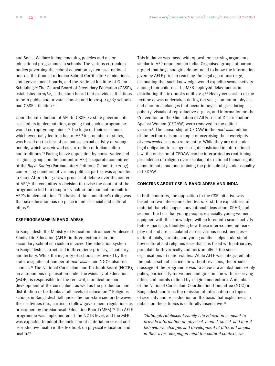and Social Welfare in implementing policies and major educational programmes in schools. The various curriculum bodies governing the school education system are: national boards, the Council of Indian School Certificate Examinations, state government boards, and the National Institute of Open Schooling.<sup>70</sup> The Central Board of Secondary Education (CBSE), established in 1962, is the state board that provides affiliations to both public and private schools, and in 2014, 15,167 schools had CBSE affiliation.71

Upon the introduction of AEP to CBSE, 12 state governments resisted its implementation, arguing that such a programme would corrupt young minds.72 The logic of their resistance, which eventually led to a ban of AEP in a number of states, was based on the fear of premature sexual activity of young people, which was viewed as corruption of Indian culture and traditions.73 Facing heavy opposition by conservative and religious groups on the content of AEP, a separate committee of the *Rajya Sabha* (Parliamentary Petitions Committee 2007) comprising members of various political parties was appointed in 2007. After a long-drawn process of debate over the content of AEP,74 the committee's decision to revise the content of the programme led to a temporary halt in the momentum built for AEP's implementation. The basis of the committee's ruling was that sex education has no place in India's social and cultural ethos.75

#### **CSE PROGRAMME IN BANGLADESH**

In Bangladesh, the Ministry of Education introduced Adolescent Family Life Education (AFLE) in three textbooks in the secondary school curriculum in 2012. The education system in Bangladesh is structured in three tiers: primary, secondary, and tertiary. While the majority of schools are owned by the state, a significant number of *madrasahs* and NGOs also run schools.<sup>76</sup> The National Curriculum and Textbook Board (NCTB), an autonomous organisation under the Ministry of Education (MOE), is responsible for the renewal, modification, and development of the curriculum, as well as the production and distribution of textbooks at all levels of education.<sup>77</sup> Religious schools in Bangladesh fall under the non-state sector; however, their activities (i.e., curricula) follow government regulations as prescribed by the Madrasah Education Board (MEB).78 The AFLE programme was implemented at the NCTB level, and the MEB was expected to adopt the inclusion of material on sexual and reproductive health in the textbook on physical education and health.79

This initiative was faced with opposition carrying arguments similar to AEP opponents in India. Organised groups of parents argued that boys and girls do not need to know the information given by AFLE prior to reaching the legal age of marriage, insinuating that such knowledge would expedite sexual activity among their children. The MEB deployed delay tactics in distributing the textbooks until 2014.<sup>80</sup> Heavy censorship of the textbooks was undertaken during the year; content on physical and emotional changes that occur in boys and girls during puberty, visuals of reproductive organs, and information on the Convention on the Elimination of All Forms of Discrimination Against Women (CEDAW) were removed in the edited version.81 The censorship of CEDAW in the *madrasah* edition of the textbooks is an example of exercising the sovereignty of *madrasahs* as a non-state entity. While they are not under legal obligation to recognise rights enshrined in international law, the omission of CEDAW can be interpreted as reaffirming precedence of religion over secular, international human rights commitments, and undermining the principle of gender equality in CEDAW.

#### **CONCERNS ABOUT CSE IN BANGLADESH AND INDIA**

In both countries, the opposition to the CSE initiative was based on two inter-connected fears. First, the explicitness of material that challenges conventional ideas about SRHR, and second, the fear that young people, especially young women, equipped with this knowledge, will be lured into sexual activity before marriage. Identifying how these inter-connected fears play out and are articulated across various constituencies state officials, parents, and young adults—helps understand how cultural and religious essentialisms fused with patriarchy, percolate both vertically and horizontally in the social organisations of nation-states. While AFLE was integrated into the public-school curriculum without revisions, the broader message of the programme was to advocate an abstinence-only policy, particularly for women and girls, in line with preserving ethics and morals defined by religion and culture. A member of the National Curriculum Coordination Committee (NCC) in Bangladesh confirms the omission of information on topics of sexuality and reproduction on the basis that explicitness in details on these topics is culturally insensitive:<sup>82</sup>

*"Although Adolescent Family Life Education is meant to provide information on physical, mental, social, and moral behavioural changes and development at different stages in their lives, keeping in mind the cultural context, we*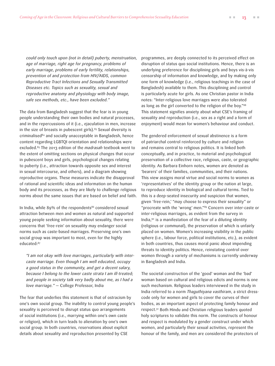*could only touch upon (not in detail) puberty, menstruation, age of marriage, right age for pregnancy, problems of early marriage, problems of early fertility, relationships, prevention of and protection from HIV/AIDS, common Reproductive Tract Infections and Sexually Transmitted Diseases etc. Topics such as sexuality, sexual and reproductive anatomy and physiology with body image, safe sex methods, etc., have been excluded."*

The data from Bangladesh suggest that the fear is in young people understanding their own bodies and natural processes, and in the repercussions of it (i.e., ejaculation in men, increase in the size of breasts in pubescent girls). $83$  Sexual diversity is criminalised<sup>84</sup> and socially unacceptable in Bangladesh, hence content regarding LGBTQI orientation and relationships were excluded.85 The 2013 edition of the *madrasah* textbook went to the extent of omitting sections on physical changes that occur in pubescent boys and girls, psychological changes relating to puberty (i.e., attraction towards opposite sex and interest in sexual intercourse, and others), and a diagram showing reproductive organs. These measures indicate the disapproval of rational and scientific ideas and information on the human body and its processes, as they are likely to challenge religious norms about the same issues that are based on belief and faith.

In India, while 89% of the respondents<sup>86</sup> considered sexual attraction between men and women as natural and supported young people seeking information about sexuality, there were concerns that 'free-rein' on sexuality may endanger social norms such as caste-based marriages. Preserving one's own social group was important to most, even for the highly educated:87

*"I am not okay with love marriages, particularly with intercaste marriage. Even though I am well educated, occupy a good status in the community, and get a decent salary, because I belong to the lower caste strata I am ill-treated; and people in society talk very badly about me, as I had a love marriage." —* College Professor, India

The fear that underlies this statement is that of ostracism by one's own social group. The inability to control young people's sexuality is perceived to disrupt status quo arrangements of social institutions (i.e., marrying within one's own caste or religion), which in turn leads to alienation by one's own social group. In both countries, reservations about explicit details about sexuality and reproduction presented by CSE

programmes, are deeply connected to its perceived effect on disruption of status quo social institutions. Hence, there is an underlying preference for disciplining girls and boys vis-à-vis censorship of information and knowledge, and by making only one form of knowledge (i.e., religious teachings in the case of Bangladesh) available to them. This disciplining and control is particularly acute for girls. As one Christian pastor in India notes: "Inter-religious love marriages were also tolerated as long as the girl converted to the religion of the boy."88 This statement signifies anxiety about what CSE's framing of sexuality and reproduction (i.e., sex as a right and a form of enjoyment) would mean for women's behaviour and conduct.

The gendered enforcement of sexual abstinence is a form of patriarchal control reinforced by culture and religion and remains central to religious politics. It is linked both conceptually, and in practice, to material and psychological preservation of a collective race, religious, caste, or geographic identity. As Barbara Einhorn notes, women are denoted as 'bearers' of their families, communities, and their nations. This view assigns moral virtue and social norms to women as 'representatives' of the identity group or the nation at large, to reproduce identity in biological and cultural terms. Tied to this is a deep-seated insecurity and suspicion that women, given 'free-rein,' "may choose to express their sexuality" or "procreate with the 'wrong' men."89 Concern over inter-caste or inter-religious marriages, as evident from the survey in India, $90$  is a manifestation of the fear of a diluting identity (religious or communal), the preservation of which is unfairly placed on women. Women's increasing visibility in the public sphere (i.e., labour force, political institutions, etc.), as evident in both countries, thus causes moral panic about impending threats to identity politics. Hence, reinstating control over women through a variety of mechanisms is currently underway in Bangladesh and India.

The societal construction of the 'good' woman and the 'bad' woman based on cultural and religious edicts and norms is one such mechanism. Religious leaders interviewed in the study in India referred to a norm *Thaguthiyana vasthiram*, a strict dresscode only for women and girls to cover the curves of their bodies, as an important aspect of protecting family honour and respect.91 Both Hindu and Christian religious leaders quoted holy scriptures to validate this norm. The constructs of honour and respect is modulated by a gender construct under which women, and particularly their sexual activities, represent the honour of the family, and men are considered the protectors of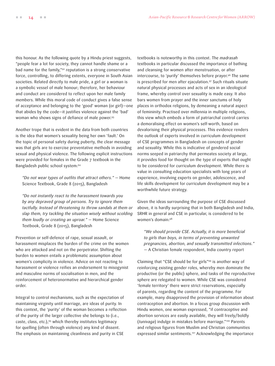this honour. As the following quote by a Hindu priest suggests, "people fear a lot for society, they cannot handle shame or a bad name for the family,"92 reputation is a strong conservative force, controlling, to differing extents, everyone in South Asian societies. Related directly to male pride, a girl or a woman is a symbolic vessel of male honour; therefore, her behaviour and conduct are considered to reflect upon her male family members. While this moral code of conduct gives a false sense of acceptance and belonging to the 'good' woman (or girl)—one that abides by the code—it justifies violence against the 'bad' woman who shows signs of defiance of male power.93

Another trope that is evident in the data from both countries is the idea that women's sexuality being her own 'fault.' On the topic of personal safety during puberty, the clear message was that girls are to exercise preventative methods in avoiding sexual and physical violence. The following explicit instructions were provided for females in the Grade 7 textbook in the Bangladesh public school system:94

*"Do not wear types of outfits that attract others." —* Home Science Textbook, Grade 8 (2015), Bangladesh

*"Do not instantly react to the harassment towards you by any depraved group of persons. Try to ignore them tactfully. Instead of threatening to throw sandals at them or slap them, try tackling the situation wisely without scolding them loudly or creating an uproar." —* Home Science Textbook, Grade 8 (2015), Bangladesh

Prevention or self-defence of rape, sexual assault, or harassment misplaces the burden of the crime on the women who are attacked and not on the perpetrator. Shifting the burden to women entails a problematic assumption about women's complicity in violence. Advice on not reacting to harassment or violence reifies an endorsement to misogynist and masculine norms of socialisation in men, and the reinforcement of heteronormative and hierarchical gender order.

Integral to control mechanisms, such as the expectation of maintaining virginity until marriage, are ideas of purity. In this context, the 'purity' of the woman becomes a reflection of the purity of the larger collective she belongs to (i.e., caste, class, etc.),95 which thereby institutes legitimacy for quelling (often through violence) any kind of dissent. The emphasis on maintaining cleanliness and purity in CSE

textbooks is noteworthy in this context. The *madrasah*  textbooks in particular discussed the importance of bathing and cleansing for women after menstruation, or after intercourse, to 'purify' themselves before prayer.96 The same is prescribed for men after ejaculation.<sup>97</sup> Such rituals situate natural physical processes and acts of sex in an ideological frame, whereby control over sexuality is made easy. It also bars women from prayer and the inner sanctums of holy places in orthodox religions, by demeaning a natural aspect of femininity. Practised over millennia in multiple religions, this view which embeds a form of patriarchal control carries a demoralising effect on women's self-worth, based on devalorising their physical processes. This evidence renders the outlook of experts involved in curriculum development of CSE programmes in Bangladesh on concepts of gender and sexuality. While this is indicative of gendered social norms seeped in patriarchy that permeates society at large, it provides food for thought on the type of experts that ought to be considered for curriculum development. While there is value in consulting education specialists with long years of experience, involving experts on gender, adolescence, and life skills development for curriculum development may be a worthwhile future strategy.

Given the ideas surrounding the purpose of CSE discussed above, it is hardly surprising that in both Bangladesh and India, SRHR in general and CSE in particular, is considered to be women's domain:98

*"We should provide CSE. Actually, it is more beneficial to girls than boys, in terms of preventing unwanted pregnancies, abortion, and sexually transmitted infections."*  — A Christian female respondent, India country report

Claiming that "CSE should be for girls"99 is another way of reinforcing existing gender roles, whereby men dominate the productive (or the public) sphere, and tasks of the reproductive sphere are relegated to women. While CSE was considered 'female territory' there were strict reservations, especially of parents, regarding the content of the programme. For example, many disapproved the provision of information about contraception and abortion. In a focus group discussion with Hindu women, one woman expressed, "if contraceptive and abortion services are easily available, they will freely/boldly (*tunivaga*) indulge in mistakes before marriage."100 Parents and religious figures from Muslim and Christian communities expressed similar sentiments.<sup>101</sup> Acknowledging the importance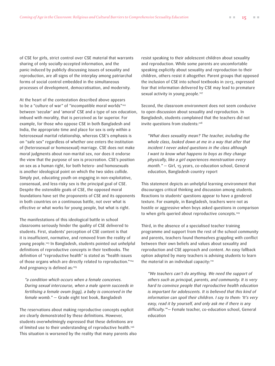of CSE for girls, strict control over CSE material that warrants sharing of only socially-accepted information, and the panic induced by publicly discussing issues of sexuality and reproduction, are all signs of the interplay among patriarchal forms of social control embedded in the simultaneous processes of development, democratisation, and modernity.

At the heart of the contestation described above appears to be a "culture of war" of "incompatible moral worlds"<sup>102</sup> between 'secular' and 'amoral' CSE and a type of sex education, imbued with morality, that is perceived as far superior. For example, for those who oppose CSE in both Bangladesh and India, the appropriate time and place for sex is only within a heterosexual marital relationship, whereas CSE's emphasis is on "safe sex" regardless of whether one enters the institution of (heterosexual or homosexual) marriage. CSE does not make moral judgments about non-marital sex, nor does it endorse the view that the purpose of sex is procreation. CSE's position on sex as a human right, for both hetero- and homosexuals is another ideological point on which the two sides collide. Simply put, educating youth on engaging in non-exploitative, consensual, and less-risky sex is the principal goal of CSE. Despite the ostensible goals of CSE, the opposed moral foundations have set the proponents of CSE and its opponents in both countries on a continuous battle, not over what is effective or what works for young people, but what is right.

The manifestations of this ideological battle in school classrooms seriously hinder the quality of CSE delivered to students. First, students' perception of CSE content is that it is insufficient, normative, and removed from the reality of young people.103 In Bangladesh, students pointed out unhelpful definitions of reproductive concepts in their textbooks. The definition of "reproductive health" is stated as "health issues of those organs which are directly related to reproduction."104 And pregnancy is defined as:<sup>105</sup>

*"a condition which occurs when a female conceives. During sexual intercourse, when a male sperm succeeds in fertilising a female ovum (egg), a baby is conceived in the female womb."* — Grade eight text book, Bangladesh

The reservations about making reproductive concepts explicit are clearly demonstrated by these definitions. However, students overwhelmingly expressed that these definitions are of limited use to their understanding of reproductive health.106 This situation is worsened by the reality that many parents also resist speaking to their adolescent children about sexuality and reproduction. While some parents are uncomfortable speaking explicitly about sexuality and reproduction to their children, others resist it altogether. Parent groups that opposed the inclusion of CSE into school textbooks in 2013, expressed fear that information delivered by CSE may lead to premature sexual activity in young people.<sup>107</sup>

Second, the classroom environment does not seem conducive to open discussion about sexuality and reproduction. In Bangladesh, students complained that the teachers did not invite questions from students:<sup>108</sup>

*"What does sexuality mean? The teacher, including the whole class, looked down at me in a way that after that incident I never asked questions in the class although I want to know what happens to boys as they change physically, like a girl experiences menstruation every month." —* Girl, 15 years, co-education school, General education, Bangladesh country report

This statement depicts an unhelpful learning environment that discourages critical thinking and discussion among students. Reactions to students' questions appear to have a gendered texture. For example, in Bangladesh, teachers were not as hostile or aggressive when boys asked questions in comparison to when girls queried about reproductive concepts.109

Third, in the absence of a specialised teacher training programme and support from the rest of the school community and parents, teachers found themselves grappling with conflict between their own beliefs and values about sexuality and reproduction and CSE approach and content. An easy fallback option adopted by many teachers is advising students to learn the material in an individual capacity:<sup>110</sup>

*"We teachers can't do anything. We need the support of others such as principal, parents, and community. It is very hard to convince people that reproductive health education is important for adolescents. It is believed that this kind of information can spoil their children. I say to them: 'It's very easy, read it by yourself, and only ask me if there is any difficulty.'"—* Female teacher, co-education school, General education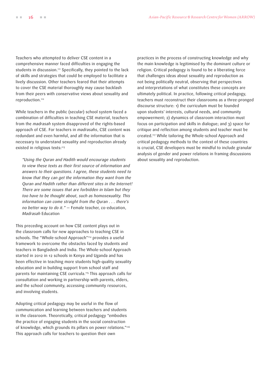Teachers who attempted to deliver CSE content in a comprehensive manner faced difficulties in engaging the students in discussion.<sup>111</sup> Specifically, they pointed to the lack of skills and strategies that could be employed to facilitate a lively discussion. Other teachers feared that their attempts to cover the CSE material thoroughly may cause backlash from their peers with conservative views about sexuality and reproduction.<sup>112</sup>

While teachers in the public (secular) school system faced a combination of difficulties in teaching CSE material, teachers from the *madrasah* system disapproved of the rights-based approach of CSE. For teachers in *madrasahs*, CSE content was redundant and even harmful, and all the information that is necessary to understand sexuality and reproduction already existed in religious texts:<sup>113</sup>

*"Using the Quran and Hadith would encourage students to view these texts as their first source of information and answers to their questions. I agree, these students need to know that they can get the information they want from the Quran and Hadith rather than different sites in the Internet! There are some issues that are forbidden in Islam but they too have to be thought about, such as homosexuality. This information can come straight from the Quran . . . there's no better way to do it." —* Female teacher, co-education, *Madrasah* Education

This preceding account on how CSE content plays out in the classroom calls for new approaches to teaching CSE in schools. The "Whole-school Approach"<sup>114</sup> provides a useful framework to overcome the obstacles faced by students and teachers in Bangladesh and India. The Whole-school Approach started in 2012 in 12 schools in Kenya and Uganda and has been effective in teaching more students high-quality sexuality education and in building support from school staff and parents for maintaining CSE curricula.<sup>115</sup> This approach calls for consultation and working in partnership with parents, elders, and the school community, accessing community resources, and involving students.

Adopting critical pedagogy may be useful in the flow of communication and learning between teachers and students in the classroom. Theoretically, critical pedagogy "embodies the practice of engaging students in the social construction of knowledge, which grounds its pillars on power relations."116 This approach calls for teachers to question their own

practices in the process of constructing knowledge and why the main knowledge is legitimised by the dominant culture or religion. Critical pedagogy is found to be a liberating force that challenges ideas about sexuality and reproduction as not being politically neutral, observing that perspectives and interpretations of what constitutes these concepts are ultimately political. In practice, following critical pedagogy, teachers must reconstruct their classrooms as a three-pronged discourse structure: 1) the curriculum must be founded upon students' interests, cultural needs, and community empowerment; 2) dynamics of classroom interaction must focus on participation and skills in dialogue; and 3) space for critique and reflection among students and teacher must be created.<sup>117</sup> While tailoring the Whole-school Approach and critical pedagogy methods to the context of these countries is crucial, CSE developers must be mindful to include granular analysis of gender and power relations in framing discussions about sexuality and reproduction.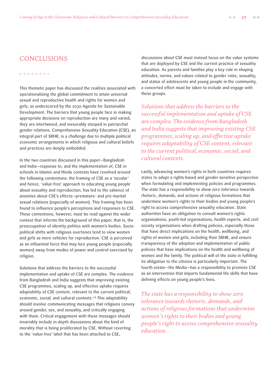#### . . . . . . . .

This thematic paper has discussed the realities associated with operationalising the global commitment to attain universal sexual and reproductive health and rights for women and girls, as underscored by the 2030 Agenda for Sustainable Development. The barriers that young people face in making appropriate decisions on reproduction are many and varied; they are intertwined, and inexorably steeped in patriarchal gender relations. Comprehensive Sexuality Education (CSE), an integral part of SRHR, is a challenge due to multiple political economic arrangements in which religious and cultural beliefs and practices are deeply embedded.

In the two countries discussed in this paper—Bangladesh and India—response to, and the implementation of, CSE in schools in Islamic and Hindu contexts have revolved around the following contentions: the framing of CSE as a 'secular' and hence, 'value-free' approach to educating young people about sexuality and reproduction, has led to the salience of anxieties about CSE's effects—premature- and pre-marital sexual relations (especially of women). This framing has been found to influence people's perceptions and responses to CSE. These contentions, however, must be read against the wider context that informs the background of this paper, that is, the preoccupation of identity politics with women's bodies. Sociopolitical shifts with religious overtones tend to view women and girls as mere vehicles for reproduction. CSE is perceived as an influential force that may lure young people (especially women) away from modes of power and control exercised by religion.

Solutions that address the barriers to the successful implementation and uptake of CSE are complex. The evidence from Bangladesh and India suggests that improving existing CSE programmes, scaling up, and effective uptake requires adaptability of CSE content, relevant to the current political, economic, social, and cultural contexts.<sup>118</sup> This adaptability should involve communicating messages that religions convey around gender, sex, and sexuality, and critically engaging with them. Critical engagement with these messages should invariably include in-depth discussions about the kind of morality that is being proliferated by CSE. Without reverting to the 'value-free' label that has been attached to CSE,

<span id="page-16-0"></span>[CONCLUSIONS](#page-1-0) discussions about CSE must instead focus on the value systems that are deployed by CSE and the current practice of sexuality education. As parents and families play a key role in shaping attitudes, norms, and values related to gender roles, sexuality, and status of adolescents and young people in the community, a concerted effort must be taken to include and engage with these groups.

> *Solutions that address the barriers to the successful implementation and uptake of CSE are complex. The evidence from Bangladesh and India suggests that improving existing CSE programmes, scaling up, and effective uptake requires adaptability of CSE content, relevant to the current political, economic, social, and cultural contexts.*

Lastly, advancing women's rights in both countries requires states to adopt a rights-based and gender-sensitive perspective when formulating and implementing policies and programmes. The state has a responsibility to show zero tolerance towards rhetoric, demands, and actions of religious formations that undermine women's rights to their bodies and young people's right to access comprehensive sexuality education. State authorities have an obligation to consult women's rights organisations, youth-led organisations, health experts, and civil society organisations when drafting policies, especially those that have direct implications on the health, wellbeing, and rights of women and girls, including their SRHR, and ensure transparency of the adoption and implementation of public policies that have implications on the health and wellbeing of women and the family. The political will of the state in fulfilling its obligation to the citizens is particularly important. The fourth estate—the Media—has a responsibility to promote CSE as an intervention that imparts fundamental life skills that have defining effects on young people's lives.

*The state has a responsibility to show zero tolerance towards rhetoric, demands, and actions of religious formations that undermine women's rights to their bodies and young people's right to access comprehensive sexuality education.*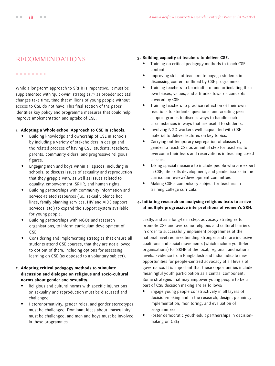#### . . . . . . . .

While a long-term approach to SRHR is imperative, it must be supplemented with 'quick-win' strategies,<sup>119</sup> as broader societal changes take time, time that millions of young people without access to CSE do not have. This final section of the paper identifies key policy and programme measures that could help improve implementation and uptake of CSE.

#### **1. Adopting a Whole-school Approach to CSE in schools.**

- **•** Building knowledge and ownership of CSE in schools by including a variety of stakeholders in design and the related process of having CSE: students, teachers, parents, community elders, and progressive religious figures.
- **•** Engaging men and boys within all spaces, including in schools, to discuss issues of sexuality and reproduction that they grapple with, as well as issues related to equality, empowerment, SRHR, and human rights.
- **•** Building partnerships with community information and service-related resources (i.e., sexual violence hot lines, family planning services, HIV and AIDS support services, etc.) to expand the support system available for young people.
- **•** Building partnerships with NGOs and research organisations, to inform curriculum development of CSE.
- **•** Considering and implementing strategies that ensure all students attend CSE courses, that they are not allowed to opt out of them, including options for assessing learning on CSE (as opposed to a voluntary subject).

#### **2. Adopting critical pedagogy methods to stimulate discussion and dialogue on religious and socio-cultural norms about gender and sexuality.**

- **•** Religious and cultural norms with specific injunctions on sexuality and reproduction must be discussed and challenged.
- **•** Heteronormativity, gender roles, and gender stereotypes must be challenged. Dominant ideas about 'masculinity' must be challenged, and men and boys must be involved in these programmes.

### <span id="page-17-0"></span>[RECOMMENDATIONS](#page-1-0) **3. Building capacity of teachers to deliver CSE.**

- **•** Training on critical pedagogy methods to teach CSE content.
- **•** Improving skills of teachers to engage students in discussing content outlined by CSE programmes.
- **•** Training teachers to be mindful of and articulating their own biases, values, and attitudes towards concepts covered by CSE.
- **•** Training teachers to practice reflection of their own reactions to students' questions, and creating peer support groups to discuss ways to handle such circumstances in ways that are useful to students.
- **•** Involving NGO workers well acquainted with CSE material to deliver lectures on key topics.
- **•** Carrying out temporary segregation of classes by gender to teach CSE as an initial step for teachers to overcome their fears and reservations in teaching co-ed classes.
- **•** Taking special measure to include people who are expert in CSE, life skills development, and gender issues in the curriculum review/development committee.
- **•** Making CSE a compulsory subject for teachers in training college curricula.

#### **4. Initiating research on analysing religious texts to arrive at multiple progressive interpretations of women's SRH.**

Lastly, and as a long-term step, advocacy strategies to promote CSE and overcome religious and cultural barriers in order to successfully implement programmes at the national level requires building stronger and more inclusive coalitions and social movements (which include youth-led organisations) for SRHR at the local, regional, and national levels. Evidence from Bangladesh and India indicate new opportunities for people-centred advocacy at all levels of governance. It is important that these opportunities include meaningful youth participation as a central component. Some strategies that may empower young people to be a part of CSE decision making are as follows:

- **•** Engage young people constructively in all layers of decision-making and in the research, design, planning, implementation, monitoring, and evaluation of programmes;
- **•** Foster democratic youth-adult partnerships in decisionmaking on CSE;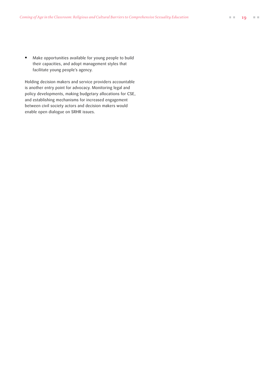**•** Make opportunities available for young people to build their capacities, and adopt management styles that facilitate young people's agency.

Holding decision makers and service providers accountable is another entry point for advocacy. Monitoring legal and policy developments, making budgetary allocations for CSE, and establishing mechanisms for increased engagement between civil society actors and decision makers would enable open dialogue on SRHR issues.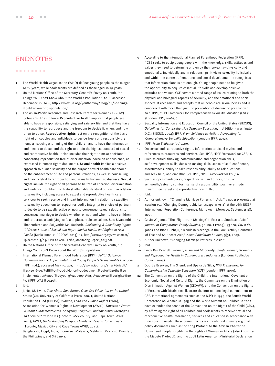#### ........

- 1 The World Health Organisation (WHO) defines young people as those aged 10-24 years, while adolescents are defined as those aged 10-19 years.
- 2 United Nations Office of the Secretary-General's Envoy on Youth, "10 Things You Didn't Know About the World's Population," 2016, accessed December 18, 2016, [http://www.un.org/youthenvoy/2015/04/10-things](http://www.un.org/youthenvoy/2015/04/10-things-didnt-know-worlds-population/)[didnt-know-worlds-population/](http://www.un.org/youthenvoy/2015/04/10-things-didnt-know-worlds-population/).
- 3 The Asian-Pacific Resource and Research Centre for Women (ARROW) defines SRHR as follows: **Reproductive health** implies that people are able to have a responsible, satisfying and safe sex life, and that they have the capability to reproduce and the freedom to decide if, when, and how often to do so. **Reproductive rights** rest on the recognition of the basic right of all couples and individuals to decide freely and responsibly the number, spacing and timing of their children and to have the information and means to do so, and the right to attain the highest standard of sexual and reproductive health. It also includes their right to make decisions concerning reproduction free of discrimination, coercion and violence, as expressed in human rights documents. **Sexual health** implies a positive approach to human sexuality and the purpose sexual health care should be the enhancement of life and personal relations, as well as counselling and care related to reproduction and sexually transmitted diseases. **Sexual rights** include the right of all persons to be free of coercion, discrimination and violence, to obtain the highest attainable standard of health in relation to sexuality, including access to sexual and reproductive health care services; to seek, receive and impart information in relation to sexuality; to sexuality education; to respect for bodily integrity; to choice of partner; to decide to be sexually active or not; to consensual sexual relations; to consensual marriage; to decide whether or not, and when to have children; and to pursue a satisfying, safe and pleasurable sexual life. See: Sivananthi Thanenthiran and Sai Jyothir Mai Racherla, *Reclaiming & Redefining Rights; ICPD+20: Status of Sexual and Reproductive Health and Rights in Asia Pacific* (Kuala Lumpur: ARROW, 2013), 17, [http://arrow.org.my/wp-content/](http://arrow.org.my/wp-content/uploads/2015/04/ICPD-20-Asia-Pacific_Monitoring-Report_2013.pdf) [uploads/2015/04/ICPD-20-Asia-Pacific\\_Monitoring-Report\\_2013.pdf.](http://arrow.org.my/wp-content/uploads/2015/04/ICPD-20-Asia-Pacific_Monitoring-Report_2013.pdf)
- 4 United Nations Office of the Secretary-General's Envoy on Youth, "10 Things You Didn't Know about the World's Population."
- 5 International Planned Parenthood Federation (IPPF), *Fulfil! Guidance Document for the Implementation of Young People's Sexual Rights* (London: IPPF., n.d.), accessed May 10, 2017, [http://www.ippf.org/sites/default/](http://www.ippf.org/sites/default/files/2016-09/Fulfil%21%20Guidance%20document%20for%20the%20implementation%20of%20young%20people%27s%20sexual%20rights%20%28IPPF-WAS%29.pdf) [files/2016-09/Fulfil%21%20Guidance%20document%20for%20the%20](http://www.ippf.org/sites/default/files/2016-09/Fulfil%21%20Guidance%20document%20for%20the%20implementation%20of%20young%20people%27s%20sexual%20rights%20%28IPPF-WAS%29.pdf) [implementation%20of%20young%20people%27s%20sexual%20rights%20](http://www.ippf.org/sites/default/files/2016-09/Fulfil%21%20Guidance%20document%20for%20the%20implementation%20of%20young%20people%27s%20sexual%20rights%20%28IPPF-WAS%29.pdf) [%28IPPF-WAS%29.pdf.](http://www.ippf.org/sites/default/files/2016-09/Fulfil%21%20Guidance%20document%20for%20the%20implementation%20of%20young%20people%27s%20sexual%20rights%20%28IPPF-WAS%29.pdf)
- 6 Ibid.
- 7 Janice M. Irvine, *Talk About Sex: Battles Over Sex Education in the United States* (CA: University of California Press, 2004); United Nations Population Fund (UNFPA), *Women, Faith and Human Rights* (2016); Association for Women's Rights in Development (AWID), *Towards a Future Without Fundamentalisms: Analysing Religious Fundamentalist Strategies and Feminist Responses* (Toronto, Mexico City, and Cape Town: AWID, 2011); AWID, *Understanding Religious Fundamentalisms for Activists* (Toronto, Mexico City and Cape Town: AWID, 2013).
- 8 Bangladesh, Egypt, India, Indonesia, Malaysia, Maldives, Morocco, Pakistan, the Philippines, and Sri Lanka.
- <span id="page-19-0"></span>[ENDNOTES](#page-1-0) 9 According to the International Planned Parenthood Federation (IPPF), "CSE seeks to equip young people with the knowledge, skills, attitudes and values they need to determine and enjoy their sexuality—physically and emotionally, individually and in relationships. It views sexuality holistically and within the context of emotional and social development. It recognises that information alone is not enough. Young people need to be given the opportunity to acquire essential life skills and develop positive attitudes and values. CSE covers a broad range of issues relating to both the physical and biological aspects of sexuality, and the emotional and social aspects. It recognises and accepts that all people are sexual beings and is concerned with more than just the prevention of disease or pregnancy." See: IPPF, "IPPF Framework for Comprehensive Sexuality Education (CSE)" (London: IPPF, 2006), 6.
	- 10 Sexuality Information and Education Council of the United States (SIECUS), *Guidelines for Comprehensive Sexuality Education*, 3rd Edition (Washington, D.C.: SIECUS, 2004); IPPF, *From Evidence to Action: Advocating for Comprehensive Sexuality Education* (London: IPPF, 2012).
	- 11 IPPF, *From Evidence to Action*.
	- 12 On sexual and reproductive rights, information to dispel myths, and references to resources and services. See: IPPF, "IPPF Framework for CSE," 6.
	- 13 Such as critical thinking, communication and negotiation skills, self-development skills, decision-making skills, sense of self, confidence, assertiveness, ability to take responsibility, ability to ask questions and seek help, and empathy. See: IPPF, "IPPF Framework for CSE," 6.
	- 14 Such as open-mindedness, respect for self and others, positive self-worth/esteem, comfort, sense of responsibility, positive attitude toward their sexual and reproductive health. Ibid.
	- 15 Ibid.
	- 16 Author unknown, "Changing Marriage Patterns in Asia," a paper presented at session 154 "Changing Demographic Landscape in Asia" at the 26th IUSSP International Population Conference, Marrakech, Morocco, September 28, 2009.
	- 17 Gavin W. Jones, "The 'Flight from Marriage' in East and Southeast Asia," *Journal of Comparative Family Studies*, 36, no. 1 (2005): 93-120; Gavin W. Jones and Bina Gubhaju, "Trends in Marriage in the Low Fertility Countries of East and Southeast Asia," *Asian Population Studie*s, 5(3), 2009.
	- 18 Author unknown, "Changing Marriage Patterns in Asia."
	- 19 Ibid.
	- 20 Linda Rae Bennett, *Women, Islam and Modernity: Single Women, Sexuality and Reproductive Health in Contemporary Indonesia* (London: Routledge Curzon, 2005).
	- 21 Doortje Braeken, Tim Shand, and Upeka de Silva, *IPPF Framework for Comprehensive Sexuality Education (CSE)* (London: IPPF, 2010).
	- 22 The Convention on the Rights of the Child, the International Covenant on Economic, Social and Cultural Rights, the Committee on the Elimination of Discrimination Against Women (CEDAW), and the Convention on the Rights of Persons with Disabilities illustrate the international legal commitment to CSE. International agreements such as the ICPD in 1994, the Fourth World Conference on Women in 1995 and the World Summit on Children in 2002 have extended the scope of the Convention on the Rights of the Child (CRC), by affirming the right of all children and adolescents to receive sexual and reproductive health information, services and education in accordance with their specific needs. These commitments are mentioned in many regional policy documents such as the 2005 Protocol to the African Charter on Human and People's Rights on the Rights of Women in Africa (also known as the Maputo Protocol), and the 2008 Latin American Ministerial Declaration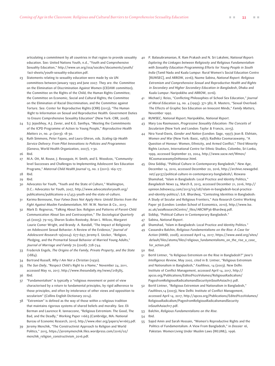articulating a commitment by all countries in that region to provide sexuality education. See: United Nations Youth, n.d., "Youth and Comprehensive Sexuality Education," [http://www.un.org/esa/socdev/documents/youth/](http://www.un.org/esa/socdev/documents/youth/fact-sheets/youth-sexuality-education.pdf) [fact-sheets/youth-sexuality-education.pdf.](http://www.un.org/esa/socdev/documents/youth/fact-sheets/youth-sexuality-education.pdf)

- 23 Statements relating to sexuality education were made by six UN committees between January 1993 and June 2007. They are: the Committee on the Elimination of Discrimination Against Women (CEDAW committee); the Committee on the Rights of the Child; the Human Rights Committee; the Committee on Economic, Social and Cultural Rights; the Committee on the Elimination of Racial Discrimination; and the Committee against Torture. See: Center for Reproductive Rights (CRR) (2013); "The Human Right to Information on Sexual and Reproductive Health: Government Duties to Ensure Comprehensive Sexuality Education" (New York: CRR, 2008).
- 24 S.J. Jejeebhoy, A.J. Zavier, and K.G. Santhya, "Meeting the Commitments of the ICPD Programme of Action to Young People," *Reproductive Health Matters* 21, no. 41 (2013): 18-30.
- 25 Ruth Simmons, Peter Fajans, and Laura Ghiron, eds. *Scaling Up Health Service Delivery: From Pilot Innovations to Policies and Programmes* (Geneva, World Health Organization, 2007), 1–30.
- 26 Ibid.
- 27 M.A. Ott, M. Rouse, J. Resseguie, H. Smith, and S. Woodcox, "Communitylevel Successes and Challenges to Implementing Adolescent Sex Education Programs," *Maternal Child Health Journal* 15, no. 2 (2011): 169-177.
- 28 Ibid.
- 29 Ibid.
- 30 Advocates for Youth, "Youth and the State of Culture," Washington, D.C.: Advocates for Youth, 2007, [http://www.advocatesforyouth.org/](http://www.advocatesforyouth.org/publications/publications-a-z/453-youth-and-the-state-of-culture) [publications/publications-a-z/453-youth-and-the-state-of-culture.](http://www.advocatesforyouth.org/publications/publications-a-z/453-youth-and-the-state-of-culture)
- 31 Karima Bennoune, *Your Fatwa Does Not Apply Here: Untold Stories from the Fight Against Muslim Fundamentalism*, NY: W.W. Norton & Co., 2013.
- 32 Mark D. Regnerus, "Talking About Sex: Religion and Patterns of Parent-Child Communication About Sex and Contraception," *The Sociological Quarterly* 46 (2005): 79–105; Sharon Scales Rostosky, Brian L. Wilcox, Margaret Laurie Comer Wright, and Brandy A. Randall, "The Impact of Religiosity on Adolescent Sexual Behavior: A Review of the Evidence," *Journal of Adolescent Research* 19(2004): 677–697; Jeremy E. Uecker, "Religion, Pledging, and the Premarital Sexual Behavior of Married Young Adults," *Journal of Marriage and Family* 70 (2008): 728–744.
- 33 Frederick Engels, *The Origins of the Family, Private Property, and the State*  $(1884)$ .
- 34 Bertrand Russell, *Why I Am Not a Christian* (1930).
- 35 *The Sun Daily*, "Respect Child's Right to a Name," November 24, 2011, accessed May 10, 2017, [http://www.thesundaily.my/news/218585.](http://www.thesundaily.my/news/218585)
- 36 Ibid.
- 37 "Fundamentalism" is typically a "religious movement or point of view characterised by a return to fundamental principles, by rigid adherence to those principles, and often by intolerance of other views and opposition to secularism" (Collins English Dictionary 2014).
- 38 "Extremism" is defined as the way of those within a religious tradition that maintains rigorous systems of shared beliefs and morality. See: Eli Berman and Laurence R. Iannaccone, "Religious Extremism: The Good, The Bad, and the Deadly," Working Paper 11663 (Cambridge, MA: National Bureau of Economic Research, 2011), [http://www.nber.org/papers/w11663.pdf.](http://www.nber.org/papers/w11663.pdf)
- Jeremy Menchik, "The Constructivist Approach to Religion and World Politics," 2015, [https://jeremymenchik.files.wordpress.com/2016/02/](https://jeremymenchik.files.wordpress.com/2016/02/menchik_religion_constructivism_2016.pdf) [menchik\\_religion\\_constructivism\\_2016.pdf](https://jeremymenchik.files.wordpress.com/2016/02/menchik_religion_constructivism_2016.pdf).
- 40 P. Balasubramanian, R. Ram Prakash and N. Sri Lakshmi, *National Report: Exploring the Linkages between Religiosity and Religious Fundamentalism with Sexuality Education Programming Efforts for Young People in South India* (Tamil Nadu and Kuala Lumpur: Rural Women's Social Education Centre [RUWSEC], and ARROW, 2016); Nazme Sabina, *National Report: Religious Extremism and Comprehensive Sexual and Reproductive Health and Rights in Secondary and Higher Secondary Education in Bangladesh*, Dhaka and Kuala Lumpur: Naripokkho and ARROW, 2016).
- 41 Michael J. Reiss, "Conflicting Philosophies of School Sex Education," *Journal of Moral Education* 24, no. 4 (1995): 371-382; R. Masters, "Sexual Overload: The Effects of Graphic Sex Education on Innocent Minds," *Family Matters,* November 1992.
- 42 RUWSEC, *National Report*; Naripokkho, *National Report*.
- 43 Mary Lou Rasmussen, *Progressive Sexuality Education: The Conceits of Secularism* (New York and London: Taylor & Francis, 2015).
- 44 Nira Yuval-Davis, *Gender and Nation* (London: Sage, 1997); Jean B. Elshtain, *Women and War* (New York: Basic, 1987); Radhika Coomaraswamy, "A Question of Honour: Women, Ethnicity, and Armed Conflict," Third Minority Rights Lecture, International Centre for Ethnic Studies, Colombo, Sri Lanka, 1999, accessed September 22, 2004, [http://www.sacw.net/Wmov/](http://www.sacw.net/Wmov/RCoomaraswamyOnHonour.html) [RCoomaraswamyOnHonour.html.](http://www.sacw.net/Wmov/RCoomaraswamyOnHonour.html)
- 45 Dina Siddiqi, "Political Culture in Contemporary Bangladesh," *New Age*, December 14, 2010, accessed December 20, 2016, [http://archive.newagebd.](http://archive.newagebd.net/49137/political-culture-in-contemporary-bangladesh/) [net/49137/political-culture-in-contemporary-bangladesh/;](http://archive.newagebd.net/49137/political-culture-in-contemporary-bangladesh/) Rizwana Shamshad, "Islam in Bangladesh: Local Practice and Identity Politics," *Bangladesh News* 24, March 8, 2013, accessed December 21, 2016[, http://](http://opinion.bdnews24.com/2013/03/08/islam-in-bangladesh-local-practice-and-identity-politics/) [opinion.bdnews24.com/2013/03/08/islam-in-bangladesh-local-practice](http://opinion.bdnews24.com/2013/03/08/islam-in-bangladesh-local-practice-and-identity-politics/)[and-identity-politics/;](http://opinion.bdnews24.com/2013/03/08/islam-in-bangladesh-local-practice-and-identity-politics/) S.K. Bhardwaj, "Contesting Identities in Bangladesh: A Study of Secular and Religious Frontiers," Asia Research Centre Working Paper 36 (London: London School of Economics, 2010), [http://www.lse.](http://www.lse.ac.uk/asiaResearchCentre/_files/ARCWP36-Bhardwaj.pdf) [ac.uk/asiaResearchCentre/\\_files/ARCWP36-Bhardwaj.pdf.](http://www.lse.ac.uk/asiaResearchCentre/_files/ARCWP36-Bhardwaj.pdf)
- 46 Siddiqi, "Political Culture in Contemporary Bangladesh."
- 47 Sabina, *National Report*.
- 48 Shamshad, "Islam in Bangladesh: Local Practice and Identity Politics."
- 49 Cassandra Balchin, *Religious Fundamentalisms on the Rise: A Case for Action* (AWID, 2008), accessed April 14, 2017, [https://www.awid.org/sites/](https://www.awid.org/sites/default/files/atoms/files/religious_fundamentalisms_on_the_rise_a_case_for_action.pdf) [default/files/atoms/files/religious\\_fundamentalisms\\_on\\_the\\_rise\\_a\\_case\\_](https://www.awid.org/sites/default/files/atoms/files/religious_fundamentalisms_on_the_rise_a_case_for_action.pdf) [for\\_action.pdf](https://www.awid.org/sites/default/files/atoms/files/religious_fundamentalisms_on_the_rise_a_case_for_action.pdf).
- 50 Ibid.
- 51 Bertil Lintner, "Is Religious Extremism on the Rise in Bangladesh?" *Jane's Intelligence Review*, May 2002, cited in B. Lintner, "Religious Extremism and Nationalism in Bangladesh," *Faultlines*, 14 (2003). New Delhi: Institute of Conflict Management, accessed April 14, 2017, [http://](http://apcss.org/Publications/Edited%20Volumes/ReligiousRadicalism/PagesfromReligiousRadicalismandSecurityinSouthAsiach17.pdf) [apcss.org/Publications/Edited%20Volumes/ReligiousRadicalism/](http://apcss.org/Publications/Edited%20Volumes/ReligiousRadicalism/PagesfromReligiousRadicalismandSecurityinSouthAsiach17.pdf) [PagesfromReligiousRadicalismandSecurityinSouthAsiach17.pdf](http://apcss.org/Publications/Edited%20Volumes/ReligiousRadicalism/PagesfromReligiousRadicalismandSecurityinSouthAsiach17.pdf).
- 52 Bertil Lintner, "Religious Extremism and Nationalism in Bangladesh," *Faultlines*,14 (2003), New Delhi: Institute of Conflict Management, accessed April 14, 2017, [http://apcss.org/Publications/Edited%20Volumes/](http://apcss.org/Publications/Edited%20Volumes/ReligiousRadicalism/PagesfromReligiousRadicalismandSecurityinSouthAsiach17.pdf) [ReligiousRadicalism/PagesfromReligiousRadicalismandSecurity](http://apcss.org/Publications/Edited%20Volumes/ReligiousRadicalism/PagesfromReligiousRadicalismandSecurityinSouthAsiach17.pdf) [inSouthAsiach17.pdf.](http://apcss.org/Publications/Edited%20Volumes/ReligiousRadicalism/PagesfromReligiousRadicalismandSecurityinSouthAsiach17.pdf)
- 53 Balchin, *Religious Fundamentalisms on the Rise[.](https://www.awid.org/sites/default/files/atoms/files/religious_fundamentalisms_on_the_rise_a_case_for_action.pdf)*
- 54 Ibid.
- 55 Sajed Amin and Sarah Hossain, "Women's Reproductive Rights and the Politics of Fundamentalism: A View From Bangladesh," in *Dossier 16*, Pakistan: Women Living Under Muslim Laws (WLUML), 1996.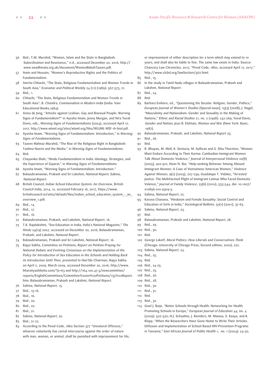- 56 Ibid.; T.M. Murshid, "Women, Islam and the State in Bangladesh: Subordination and Resistance," n.d.[, accessed December 20, 2016, http://](http://www.swadhinata.org.uk/document/WomenBdeshTazeen.pdf) [www.swadhinata.org.uk/document/WomenBdeshTazeen.pdf.](http://www.swadhinata.org.uk/document/WomenBdeshTazeen.pdf)
- 57 Amin and Hossain, "Women's Reproductive Rights and the Politics of Fundamentalism.
- 58 Amrita Chhachi, "The State, Religious Fundamentalism and Women Trends in South Asia," *Economic and Political Weekly* 24 (11) (1989): 567-573, 21.
- 59 Ibid., 1.
- 60 Chhachi, "The State, Religious Fundamentalism and Women Trends in South Asia"; B. Chandra, *Communalism in Modern India* (India: Vani Educational Books,1984).
- 61 Anisa de Jong, "Attacks against Lesbian, Gay and Bisexual People: Warning Signs of Fundamentalism?" in Ayesha Imam, Jenny Morgan, and Nira Yuval-Davis, eds., *Warning Signs of Fundamentalisms* (2004), accessed April 17, 2017, <http://www.wluml.org/sites/wluml.org/files/WLUML-WSF-1h-final.pdf>.
- 62 Ayesha Imam, "Warning Signs of Fundamentalism: Introduction," in *Warning Signs of Fundamentalisms*.
- 63 Tazeen Mahnaz Murshid, "The Rise of the Religious Right in Bangladesh: Taslima Nasrin and the Media," in *Warning Signs of Fundamentalisms*.
- $64$  Ibid.
- 65 Chayanika Shah, "Hindu Fundamentalism in India: Ideology, Strategies, and the Experience of Gujarat," in *Warning Signs of Fundamentalisms*.
- 66 Ayesha Imam, "Warning Signs of Fundamentalism: Introduction."
- 67 Balasubramanian, Prakash and Sri Lakshmi, *National Report*; Sabina, *National Report*.
- 68 British Council, *Indian School Education System: An Overview*, British Council India, 2014, 12, accessed February 16, 2017, [https://www.](https://www.britishcouncil.in/sites/default/files/indian_school_education_system_-_an_overview_1.pdf) [britishcouncil.in/sites/default/files/indian\\_school\\_education\\_system\\_-\\_an\\_](https://www.britishcouncil.in/sites/default/files/indian_school_education_system_-_an_overview_1.pdf) [overview\\_1.pdf.](https://www.britishcouncil.in/sites/default/files/indian_school_education_system_-_an_overview_1.pdf)
- 69 Ibid., 14.
- 70 Ibid., 17.
- 71 Ibid., 16.
- 72 Balasubramanian, Prakash, and Lakshmi, *National Report*, 16.
- 73 T.K. Rajalakshmi, "Sex-Education in India, India's National Magazine," *The Hindu* 24(19) 2007, accessed on December 20, 2016; Balasubramanian, Prakash, and Lakshmi, *National Report*.
- 74 Balasubramanian, Prakash and Sri Lakshmi, *National Report*, 16.
- 75 Rajya Sabha, Committee on Petitions, *Report on Petition Praying for National Debate and Evolving Consensus on the Implementation of the Policy for Introduction of Sex Education in the Schools and Holding Back its Introduction Until Then*, presented to Hon'ble Chairman, Rajya Sabha on April 2, 2009, March 2009, accessed December 20, 2016, [http://www.](http://www.bharatiyashiksha.com/?p=63) [bharatiyashiksha.com/?p=63](http://www.bharatiyashiksha.com/?p=63) [and](http://
	www.bharatiyashiksha.com/?p=63 and http://164.100.47.5/
	newcommittee/reports/EnglishCommittees/Committee%20on%20
	Petitions/135%20Report.htm) [http://164.100.47.5/newcommittee/](http://164.100.47.5/newcommittee/reports/EnglishCommittees/Committee%20on%20Petitions/135%20Report.htm) [reports/EnglishCommittees/Committee%20on%20Petitions/135%20Report.](http://164.100.47.5/newcommittee/reports/EnglishCommittees/Committee%20on%20Petitions/135%20Report.htm) [htm;](http://164.100.47.5/newcommittee/reports/EnglishCommittees/Committee%20on%20Petitions/135%20Report.htm) Balasubramanian, Prakash and Lakshmi, *National Report*.
- 76 Sabina, *National Report*, 15.
- 77 Ibid., 15-16.
- 78 Ibid., 16.
- 79 Ibid., 20.
- 80 Ibid., 22.
- 81 Ibid., 21.
- 82 Sabina, *National Report*, 20.
- 83 Ibid., 21-22.
- 84 According to the Penal Code, 1860 Section 377 "Unnatural Offences," whoever voluntarily has carnal intercourse against the order of nature with man, woman, or animal, shall be punished with imprisonment for life,

or imprisonment of either description for a term which may extend to 10 years, and shall also be liable to fine. The same law exists in India. Source: Chancery Law Chronicles, 2017, "Penal Code, 1860, accessed April 17, 2017," <http://www.clcbd.org/lawSection/562.html>[.](http://www.clcbd.org/
	lawSection/562.html Accessed on April 17, 2017) 

- 85 Ibid., 15.
- 86 In the study in Tamil Nadu villages in Balasubramanian, Prakash and Lakshmi, *National Report*.
- 87 Ibid., 24.
- 88 Ibid.
- 89 Barbara Einhorn, ed., "Questioning the Secular: Religion, Gender, Politics," *European Journal of Women's Studies* [Special issue], 15(3) (2008); J. Nagel, "Masculinity and Nationalism: Gender and Sexuality in the Making of Nations," *Ethnic and Racial Studies* 21, no. 2 (1998): 242-269; Yuval-Davis, *Gender and Nation*; Jean B. Elshtain, *Women and War* (New York: Basic, 1987).
- 90 Balasubramanian, Prakash, and Lakshmi, *National Report* 25.
- 91 Ibid., 26.
- 92 Ibid.
- 93 R. Bhuyan, M. Mell, K. Senturia, M. Sullivan and S. Shiu-Thornton, "Women Must Endure According to Their Karma: Cambodian Immigrant Women Talk About Domestic Violence," *Journal of Interpersonal Violence* 20(8) (2005), 902-921; Hoan N. Bui, "Help-seeking Behavior Among Abused Immigrant Women: A Case of Vietnamese American Women," *Violence Against Women*, 9(2) (2003), 207-239; Guadalupe T. Vidales, "Arrested Justice: The Multifaceted Plight of Immigrant Latinas Who Faced Domestic Volence," *Journal of Family Violence*, 25(6) (2010), 533-544, doi: 10.1007/ s10896-010-9309-5.
- 94 Sabina, *National Report*, 22.
- 95 Karuna Chanana, "Hinduism and Female Sexuality: Social Control and Education of Girls in India," *Sociological Bulletin*, 50(1) (2001), 37-63.
- 96 Sabina, *National Report*, 23.
- 97 Ibid.
- 98 Balasubramanian, Prakash and Lakshmi, *National Report*, 28.
- 99 Ibid., 29.
- 100 Ibid., 30.
- 101 Ibid.
- 102 George Lakoff, *Moral Politics: How Liberals and Conservatives Think* (Chicago: University of Chicago Press, Second edition, 2002), 222.
- 103 Sabina, *National Report*, 24.
- 104 Ibid., 25.
- 105 Ibid.
- 106 Ibid., 24-25.
- 107 Ibid., 25.
- 108 Ibid., 26.
- 109 Ibid., 28. 110 Ibid., 30.
- 111 Ibid., 31.
- 112 Ibid.
- 113 Ibid., 32.
- 114 Goof J. Buijs, "Better Schools through Health: Networking for Health Promoting Schools in Europe," *European Journal of Education* 44, no. 4 (2009): 507–520; H.J. Schaalma, J. Reinders, M. Matasu, S. Kaaya, and K. Klepp, "When the Researchers Have Gone Home to Write Their Articles. Diffusion and Implementation of School-Based HIV-Prevention Programs in Tanzania," *East African Journal of Public Health* 1, no. 1 (2004): 24–32;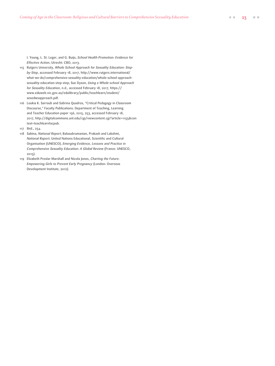I. Young, L. St. Leger, and G. Buijs, *School Health Promotion: Evidence for Effective Action*, Utrecht: CBO, 2013.

- 115 Rutgers University, *Whole School Approach for Sexuality Education: Stepby-Step*, accessed February 18, 2017, [http://www.rutgers.international/](http://www.rutgers.international/what-we-do/comprehensive-sexuality-education/whole-school-approach-sexuality-education-step-step) [what-we-do/comprehensive-sexuality-education/whole-school-approach](http://www.rutgers.international/what-we-do/comprehensive-sexuality-education/whole-school-approach-sexuality-education-step-step)[sexuality-education-step-step](http://www.rutgers.international/what-we-do/comprehensive-sexuality-education/whole-school-approach-sexuality-education-step-step); Sue Dyson, *Using a Whole-school Approach for Sexuality Education*, n.d., accessed February 18, 2017, [https://](https://www.eduweb.vic.gov.au/edulibrary/public/teachlearn/student/sexedwsapproach.pdf) [www.eduweb.vic.gov.au/edulibrary/public/teachlearn/student/](https://www.eduweb.vic.gov.au/edulibrary/public/teachlearn/student/sexedwsapproach.pdf) [sexedwsapproach.pdf.](https://www.eduweb.vic.gov.au/edulibrary/public/teachlearn/student/sexedwsapproach.pdf)
- 116 Loukia K. Sarroub and Sabrina Quadros, "Critical Pedagogy in Classroom Discourse," Faculty Publications: Department of Teaching, Learning and Teacher Education paper 156, 2015, 253, accessed February 18, 2017, [http://digitalcommons.unl.edu/cgi/viewcontent.cgi?article=1155&con](http://digitalcommons.unl.edu/cgi/viewcontent.cgi?article=1155&context=teachlearnfacpub) [text=teachlearnfacpub.](http://digitalcommons.unl.edu/cgi/viewcontent.cgi?article=1155&context=teachlearnfacpub)
- 117 Ibid., 254.
- 118 Sabina, *National Report*; Balasubramanian, Prakash and Lakshmi, *National Report*; United Nations Educational, Scientific and Cultural Organisation (UNESCO), *Emerging Evidence, Lessons and Practice in Comprehensive Sexuality Education: A Global Review* (France: UNESCO, 2015).
- 119 Elizabeth Preslar-Marshall and Nicola Jones, *Charting the Future: Empowering Girls to Prevent Early Pregnancy* (London: Overseas Development Institute, 2012).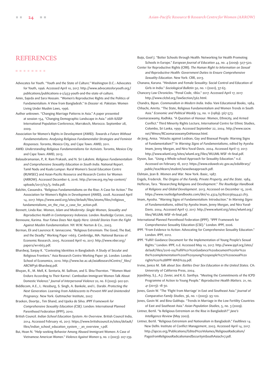### <span id="page-23-0"></span>**[REFERENCES](#page-1-0)**

#### ........

- Advocates for Youth. "Youth and the State of Culture." Washington D.C.: Advocates for Youth, 1996. Accessed April 10, 2017. [http://www.advocatesforyouth.org/](http://www.advocatesforyouth.org/publications/publications-a-z/453-youth-and-the-state-of-culture) [publications/publications-a-z/453-youth-and-the-state-of-culture.](http://www.advocatesforyouth.org/publications/publications-a-z/453-youth-and-the-state-of-culture)
- Amin, Sajeda and Sara Hossain. "Women's Reproductive Rights and the Politics of Fundamentalism: A View from Bangladesh." In *Dossier 16.* Pakistan: Women Living Under Muslim Laws, 1996.
- Author unknown. "Changing Marriage Patterns in Asia." A paper presented at session 154, "Changing Demographic Landscape in Asia." 26th IUSSP International Population Conference, Marrakech, Morocco. September 28, 2009.
- Association for Women's Rights in Development (AWID). *Towards a Future Without Fundamentalisms: Analysing Religious Fundamentalist Strategies and Feminist Responses*. Toronto, Mexico City, and Cape Town: AWID, 2011.
- AWID. *Understanding Religious Fundamentalisms for Activists*. Toronto, Mexico City and Cape Town: AWID, 2013.
- Balasubramanian, P., R. Ram Prakash, and N. Sri Lakshmi. *Religious Fundamentalism and Comprehensive Sexuality Education in South India*. National Report. Tamil Nadu and Kuala Lumpur: Rural Women's Social Education Centre (RUWSEC) and Asian-Pacific Resource and Research Centre for Women (ARROW). Accessed December 6, 2016. [http://arrow.org.my/wp-content/](http://arrow.org.my/wp-content/uploads/2017/03/5.-India.pdf) [uploads/2017/03/5.-India.pdf.](http://arrow.org.my/wp-content/uploads/2017/03/5.-India.pdf)
- Balchin, Cassandra. "Religious Fundamentalisms on the Rise: A Case for Action." The Association for Women's Rights in Development (AWID), 2008. Accessed April 14, 2017. [https://www.awid.org/sites/default/files/atoms/files/religious\\_](https://www.awid.org/sites/default/files/atoms/files/religious_fundamentalisms_on_the_rise_a_case_for_action.pdf) [fundamentalisms\\_on\\_the\\_rise\\_a\\_case\\_for\\_action.pdf.](https://www.awid.org/sites/default/files/atoms/files/religious_fundamentalisms_on_the_rise_a_case_for_action.pdf)
- Bennett, Linda Rae. *Women, Islam and Modernity: Single Women, Sexuality and Reproductive Health in Contemporary Indonesia*. London: Routledge Curzon, 2005.
- Bennoune, Karima. *Your Fatwa Does Not Apply Here: Untold Stories from the Fight Against Muslim Fundamentalism*. NY: W.W. Norton & Co., 2003.
- Berman, Eli and Laurence R. Iannaccone. "Religious Extremism: The Good, The Bad, and the Deadly." Working Paper 11663. Cambridge, MA: National Bureau of Economic Research, 2005. Accessed April 10, 2017. [http://www.nber.org/](http://www.nber.org/papers/w11663.pdf) [papers/w11663.pdf.](http://www.nber.org/papers/w11663.pdf)
- Bhardwaj, Sanjay K. "Contesting Identities in Bangladesh: A Study of Secular and Religious Frontiers." Asia Research Centre Working Paper 36. London: London School of Economics, 2010. [http://www.lse.ac.uk/asiaResearchCentre/\\_files/](http://www.lse.ac.uk/asiaResearchCentre/_files/ARCWP36-Bhardwaj.pdf) [ARCWP36-Bhardwaj.pdf.](http://www.lse.ac.uk/asiaResearchCentre/_files/ARCWP36-Bhardwaj.pdf)
- Bhuyan, R., M. Mell, K. Senturia, M. Sullivan, and S. Shiu-Thornton. "'Women Must Endure According to Their Karma': Cambodian Immigrant Women Talk About Domestic Violence." *Journal of Interpersonal Violence* 20, no. 8 (2005): 902-921.
- Biddlecom, A.E., L. Hessburg, S. Singh, A. Bankole, and L. Darabi. *Protecting the Next Generation: Learning from Adolescents to Prevent HIV and Unintended Pregnancy*. New York: Guttmacher Institute, 2007.
- Braeken, Doortje., Tim Shand, and Upeka de Silva. *IPPF Framework for Comprehensive Sexuality Education (CSE)*. London: International Planned Parenthood Federation (IPPF), 2010.
- British Council. *Indian School Education System: An Overview*. British Council India, 2014. Accessed February 16, 2017. [https://www.britishcouncil.in/sites/default/](https://www.britishcouncil.in/sites/default/files/indian_school_education_system_-_an_overview_1.pdf) [files/indian\\_school\\_education\\_system\\_-\\_an\\_overview\\_1.pdf](https://www.britishcouncil.in/sites/default/files/indian_school_education_system_-_an_overview_1.pdf).
- Bui, Hoan N. "Help-seeking Behavior Among Abused Immigrant Women: A Case of Vietnamese American Women." *Violence Against Women* 9, no. 2 (2003): 207-239.

Buijs, Goof J. "Better Schools through Health: Networking for Health Promoting Schools in Europe." *European Journal of Education* 44, no. 4 (2009): 507–520.

- Center for Reproductive Rights (CRR). *The Human Right to Information on Sexual and Reproductive Health: Government Duties to Ensure Comprehensive Sexuality Education*. New York: CRR, 2013.
- Chanana, Karuna. "Hinduism and Female Sexuality: Social Control and Education of Girls in India." *Sociological Bulletin* 50, no. 1 (2001), 37-63.
- Chancery Law Chronicles. "Penal Code, 1860." 2017. Accessed April 17, 2017. [http://www.clcbd.org/lawSection/562.html.](http://www.clcbd.org/lawSection/562.html)
- Chandra, Bipan. *Communalism in Modern India*. India: Vani Educational Books, 1984.
- Chhachi, Amrita. "The State, Religious Fundamentalism and Women Trends in South Asia." *Economic and Political Weekly* 24, no. 11 (1989): 567-573.
- Coomaraswamy, Radhika. "A Question of Honour: Women, Ethnicity, and Armed Conflict." Third Minority Rights Lecture, International Centre for Ethnic Studies, Colombo, Sri Lanka, 1999. Accessed September 22, 2004. [http://www.sacw.](http://www.sacw.net/Wmov/RCoomaraswamyOnHonour.html) [net/Wmov/RCoomaraswamyOnHonour.html](http://www.sacw.net/Wmov/RCoomaraswamyOnHonour.html).
- de Jong, Anisa. "Attacks against Lesbian, Gay and Bisexual People: Warning Signs of Fundamentalism?" In *Warning Signs of Fundamentalisms*, edited by Ayesha Imam, Jenny Morgan, and Nira Yuval-Davis. 2004. Accessed April 17, 2017. [http://www.wluml.org/sites/wluml.org/files/WLUML-WSF-1h-final.pdf.](http://www.wluml.org/sites/wluml.org/files/WLUML-WSF-1h-final.pdf)
- Dyson, Sue. "Using a Whole-school Approach for Sexuality Education." n.d. Accessed on February 18, 2017. [https://www.eduweb.vic.gov.au/edulibrary/](https://www.eduweb.vic.gov.au/edulibrary/public/teachlearn/student/sexedwsapproach.pdf) [public/teachlearn/student/sexedwsapproach.pdf.](https://www.eduweb.vic.gov.au/edulibrary/public/teachlearn/student/sexedwsapproach.pdf)
- Elshtain, Jean B. *Women and War*. New York: Basic, 1987.
- Engels, Frederick. *The Origins of the Family, Private Property, and the State*. 1984.
- Hefferan, Tara. "Researching Religions and Development." *The Routledge Handbook of Religions and Global Development*. 2013. Accessed on December 15, 2016. [https://www.routledgehandbooks.com/doi/10.4324/9780203694442.ch3.](https://www.routledgehandbooks.com/doi/10.4324/9780203694442.ch3)
- Imam, Ayesha. "Warning Signs of Fundamentalism: Introduction." In *Warning Signs of Fundamentalisms*, edited by Ayesha Imam, Jenny Morgan, and Nira Yuval-Davis. 2004. Accessed April 17, 2017. [http://www.wluml.org/sites/wluml.org/](http://www.wluml.org/sites/wluml.org/files/WLUML-WSF-1h-final.pdf) [files/WLUML-WSF-1h-final.pdf](http://www.wluml.org/sites/wluml.org/files/WLUML-WSF-1h-final.pdf).
- International Planned Parenthood Federation (IPPF). "IPPF Framework for Comprehensive Sexuality Education (CSE)." London: IPPF, 2006.
- IPPF. "From Evidence to Action: Advocating for Comprehensive Sexuality Education." London: IPPF, 2012.
- IPPF. "Fulfil! Guidance Document for the Implementation of Young People's Sexual Rights." London: IPPF, n.d. Accessed May 10, 2017. [http://www.ippf.org/sites/](http://www.ippf.org/sites/default/files/2016-09/Fulfil%21%20Guidance%20document%20for%20the%20implementation%20of%20young%20people%27s%20sexual%20rights%20%28IPPF-WAS%29.pdf) [default/files/2016-09/Fulfil%21%20Guidance%20document%20for%20](http://www.ippf.org/sites/default/files/2016-09/Fulfil%21%20Guidance%20document%20for%20the%20implementation%20of%20young%20people%27s%20sexual%20rights%20%28IPPF-WAS%29.pdf) [the%20implementation%20of%20young%20people%27s%20sexual%20](http://www.ippf.org/sites/default/files/2016-09/Fulfil%21%20Guidance%20document%20for%20the%20implementation%20of%20young%20people%27s%20sexual%20rights%20%28IPPF-WAS%29.pdf) [rights%20%28IPPF-WAS%29.pdf](http://www.ippf.org/sites/default/files/2016-09/Fulfil%21%20Guidance%20document%20for%20the%20implementation%20of%20young%20people%27s%20sexual%20rights%20%28IPPF-WAS%29.pdf).
- Irvine, Janice M. *Talk about Sex: Battles Over Sex Education in the United States*. CA: University of California Press, 2004.
- Jejeebhoy, S.J., A.J. Zavier, and K.G. Santhya. "Meeting the Commitments of the ICPD Programme of Action to Young People." *Reproductive Health Matters*. 21, no. 41 (2013): 18-30.
- Jones, Gavin W. "The 'Flight from Marriage' in East and Southeast Asia." *Journal of Comparative Family Studies*, 36, no. 1 (2005): 93-120.

Jones, Gavin W. and Bina Gubhaju. "Trends in Marriage in the Low Fertility Countries of East and Southeast Asia." *Asian Population Studies*, 5, no. 3 (2009).

- Lintner, Bertil. "Is Religious Extremism on the Rise in Bangladesh?" *Jane's Intelligence Review* (May 2002).
- Lintner, Bertil. "Religious Extremism and Nationalism in Bangladesh." *Faultlines* 14. New Delhi: Institute of Conflict Management, 2003. Accessed April 14, 2017. [http://apcss.org/Publications/Edited%20Volumes/ReligiousRadicalism/](http://apcss.org/Publications/Edited%20Volumes/ReligiousRadicalism/PagesfromReligiousRadicalismandSecurityinSouthAsiach17.pdf) [PagesfromReligiousRadicalismandSecurityinSouthAsiach17.pdf.](http://apcss.org/Publications/Edited%20Volumes/ReligiousRadicalism/PagesfromReligiousRadicalismandSecurityinSouthAsiach17.pdf)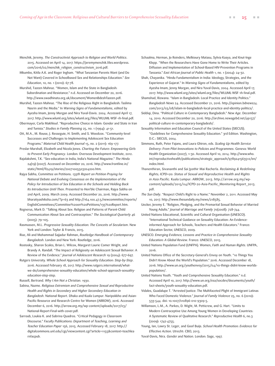- Menchik, Jeremy. *The Constructivist Approach to Religion and World Politics*. 2015. Accessed on April 14, 2017. [https://jeremymenchik.files.wordpress.](https://jeremymenchik.files.wordpress.com/2016/02/menchik_religion_constructivism_2016.pdf) [com/2016/02/menchik\\_religion\\_constructivism\\_2016.pdf.](https://jeremymenchik.files.wordpress.com/2016/02/menchik_religion_constructivism_2016.pdf)
- Mkumbo, Kitila A.K. and Roger Ingham. "What Tanzanian Parents Want (and Do Not Want) Covered in Schoolbased Sex and Relationships Education." *Sex Education*, 10, no. 1 (2010): 67-78.
- Murshid, Tazeen Mahnaz. "Women, Islam and the State in Bangladesh: Subordination and Resistance." n.d. Accessed on December 20, 2016. <http://www.swadhinata.org.uk/document/WomenBdeshTazeen.pdf>.
- Murshid, Tazeen Mahnaz. "The Rise of the Religious Right in Bangladesh: Taslima Nasrin and the Media." In *Warning Signs of Fundamentalisms*, edited by Ayesha Imam, Jenny Morgan and Nira Yuval-Davis. 2004. Accessed April 17, 2017. [http://www.wluml.org/sites/wluml.org/files/WLUML-WSF-1h-final.pdf.](http://www.wluml.org/sites/wluml.org/files/WLUML-WSF-1h-final.pdf)
- Obermayer, Carla Makhlouf. "Reproductive Choice in Islam: Gender and State in Iran and Tunisia." *Studies in Family Planning* 25, no. 1 (1994): 41-51.
- Ott, M.A., M. Rouse, J. Resseguie, H. Smith, and S. Woodcox. "Community-level Successes and Challenges to Implementing Adolescent Sex Education Programs." *Maternal Child Health Journal* 15, no. 2 (2011): 169-177.
- Preslar-Marshall, Elizabeth and Nicola Jones. *Charting the Future: Empowering Girls to Prevent Early Pregnancy*. London: Overseas Development Institute, 2012.
- Rajalakshmi, T.K. "Sex-education in India, India's National Magazine." *The Hindu* 24(19) (2007). Accessed on December 20, 2016. [http://www.frontline.in/](http://www.frontline.in/static/html/fl2419/stories/20071005503204200.htm) [static/html/fl2419/stories/20071005503204200.htm](http://www.frontline.in/static/html/fl2419/stories/20071005503204200.htm).
- Rajya Sabha, Committee on Petitions. *135th Report on Petition Praying for National Debate and Evolving Consensus on the Implementation of the Policy for Introduction of Sex Education in the Schools and Holding Back Its Introduction Until Then*. Presented to Hon'ble Chairman, Rajya Sabha on 2nd April, 2009. March 2009. Accessed December 20, 2016. h[ttp://www.](ttp://www.bharatiyashiksha.com/?p=63) [bharatiyashiksha.com/?p=63](ttp://www.bharatiyashiksha.com/?p=63) and [http://164.100.47.5/newcommittee/reports/](http://164.100.47.5/newcommittee/reports/EnglishCommittees/Committee%20on%20Petitions/135%20Report.htm) [EnglishCommittees/Committee%20on%20Petitions/135%20Report.htm](http://164.100.47.5/newcommittee/reports/EnglishCommittees/Committee%20on%20Petitions/135%20Report.htm).
- Regnerus, Mark D. "Talking About Sex: Religion and Patterns of Parent-Child Communication About Sex and Contraception." *The Sociological Quarterly* 46 (2005): 79–105.
- Rasmussen, M.L. *Progressive Sexuality Education: The Conceits of Secularism*. New York and London: Taylor & Francis, 2015.
- Riaz, Ali and Mohammad Sajjadur Rahman, *Routledge Handbook of Contemporary Bangladesh*. London and New York: Routledge, 2016.
- Rostosky, Sharon Scales, Brian L. Wilcox, Margaret Laurie Comer Wright, and Brandy A. Randall. "The Impact of Religiosity on Adolescent Sexual Behavior: A Review of the Evidence." *Journal of Adolescent Research* 19 (2004): 677–697.
- Rutgers University. *Whole School Approach for Sexuality Education: Step-by-Step*. 2016. Accessed February 18, 2017. [http://www.rutgers.international/what](http://www.rutgers.international/what-we-do/comprehensive-sexuality-education/whole-school-approach-sexuality-education-step-step)[we-do/comprehensive-sexuality-education/whole-school-approach-sexuality](http://www.rutgers.international/what-we-do/comprehensive-sexuality-education/whole-school-approach-sexuality-education-step-step)[education-step-step](http://www.rutgers.international/what-we-do/comprehensive-sexuality-education/whole-school-approach-sexuality-education-step-step).
- Russell, Bertrand. *Why I Am Not a Christian*. 1930.
- Sabina, Nazme. *Religious Extremism and Comprehensive Sexual and Reproductive Health and Rights in Secondary and Higher Secondary Education in Bangladesh*. National Report. Dhaka and Kuala Lumpur: Naripokkho and Asian-Pacific Resource and Research Centre for Women (ARROW), 2016. Accessed December 6, 2016. [http://arrow.org.my/wp-content/uploads/2017/03/](http://arrow.org.my/wp-content/uploads/2017/03/National-Report-Final-with-cover.pdf) [National-Report-Final-with-cover.pdf](http://arrow.org.my/wp-content/uploads/2017/03/National-Report-Final-with-cover.pdf).
- Sarroub, Loukia K. and Sabrina Quadros. "Critical Pedagogy in Classroom Discourse." *Faculty Publications: Department of Teaching, Learning and Teacher Education Paper* 156, 2015. Accessed February 18, 2017. [http://](http://digitalcommons.unl.edu/cgi/viewcontent.cgi?article=1155&context=teachlearnfacpub) [digitalcommons.unl.edu/cgi/viewcontent.cgi?article=1155&context=teachlea](http://digitalcommons.unl.edu/cgi/viewcontent.cgi?article=1155&context=teachlearnfacpub) [rnfacpub](http://digitalcommons.unl.edu/cgi/viewcontent.cgi?article=1155&context=teachlearnfacpub).
- Schaalma, Herman, Jo Reinders, Melkioury Matasu, Sylvia Kaaya, and Knut-Inge Klepp. "When the Researchers Have Gone Home to Write Their Articles. Diffusion and Implementation of School-Based HIV-Prevention Programs in Tanzania." *East African Journal of Public Health* 1, no. 1 (2004): 24–32.
- Shah, Chayanika. "Hindu Fundamentalism in India: Ideology, Strategies, and the Experience of Gujarat." In *Warning Signs of Fundamentalisms*, edited by Ayesha Imam, Jenny Morgan, and Nira Yuval-Davis, 2004. Accessed April 17, 2017.<http://www.wluml.org/sites/wluml.org/files/WLUML-WSF-1h-final.pdf>.
- Shamshad, Rizwana. "Islam in Bangladesh: Local Practice and Identity Politics." *Bangladesh News* 24. Accessed December 21, 2016. [http://opinion.bdnews24.](http://opinion.bdnews24.com/2013/03/08/islam-in-bangladesh-local-practice-and-identity-politics/) [com/2013/03/08/islam-in-bangladesh-local-practice-and-identity-politics/.](http://opinion.bdnews24.com/2013/03/08/islam-in-bangladesh-local-practice-and-identity-politics/)
- Siddiqi, Dina. "Political Culture in Contemporary Bangladesh." *New Age*. December 14, 2010. Accessed December 20, 2016. [http://archive.newagebd.net/49137/](http://archive.newagebd.net/49137/political-culture-in-contemporary-bangladesh/) [political-culture-in-contemporary-bangladesh/.](http://archive.newagebd.net/49137/political-culture-in-contemporary-bangladesh/)
- Sexuality Information and Education Council of the United States (SIECUS). "Guidelines for Comprehensive Sexuality Education." 3rd Edition. Washington, D.C.: SIECUS, 2004.
- Simmons, Ruth, Peter Fajans, and Laura Ghiron, eds. *Scaling Up Health Service Delivery: From Pilot Innovations to Policies and Programmes*. Geneva: World Health Organization (2007), 1–30. Accessed April 10, 2014. [http://www.who.](http://www.who.int/reproductivehealth/publications/strategic_approach/9789241563512/en/index.html) [int/reproductivehealth/publications/strategic\\_approach/9789241563512/en/](http://www.who.int/reproductivehealth/publications/strategic_approach/9789241563512/en/index.html) [index.html.](http://www.who.int/reproductivehealth/publications/strategic_approach/9789241563512/en/index.html)
- Thanenthiran, Sivananthi and Sai Jyothir Mai Racherla. *Reclaiming & Redefining Rights; ICPD+20: Status of Sexual and Reproductive Health and Rights in Asia Pacific.* Kuala Lumpur: ARROW, 2013. [http://arrow.org.my/wp](http://arrow.org.my/wp-content/uploads/2015/04/ICPD-20-Asia-Pacific_Monitoring-Report_2013.pdf
)[content/uploads/2015/04/ICPD-20-Asia-Pacific\\_Monitoring-Report\\_2013.](http://arrow.org.my/wp-content/uploads/2015/04/ICPD-20-Asia-Pacific_Monitoring-Report_2013.pdf
) [pdf.](http://arrow.org.my/wp-content/uploads/2015/04/ICPD-20-Asia-Pacific_Monitoring-Report_2013.pdf
)
- *The Sun Daily*. "Respect Child's Right to a Name." November 2, 2011. Accessed May 10, 2017. [http://www.thesundaily.my/news/218585.](http://www.thesundaily.my/news/218585)
- Uecker, Jeremy E. "Religion, Pledging, and the Premarital Sexual Behavior of Married Young Adults." *Journal of Marriage and Family* 70(2008): 728–744.
- United Nations Educational, Scientific and Cultural Organisation (UNESCO). "International Technical Guidance on Sexuality Education: An Evidenceinformed Approach for Schools, Teachers and Health Educators." France: Education Sector, UNESCO, 2009.
- UNESCO. *Emerging Evidence, Lessons and Practice in Comprehensive Sexuality Education: A Global Review*. France: UNESCO, 2015.
- United Nations Population Fund (UNFPA). Women, *Faith and Human Rights*. UNFPA, 2016.
- United Nations Office of the Secretary-General's Envoy on Youth. "10 Things You Didn't Know About the World's Population." 2016. Accessed December 18, 2016. [http://www.un.org/youthenvoy/2015/04/10-things-didnt-know-worlds](http://www.un.org/youthenvoy/2015/04/10-things-didnt-know-worlds-population/)[population/.](http://www.un.org/youthenvoy/2015/04/10-things-didnt-know-worlds-population/)
- United Nations Youth. "Youth and Comprehensive Sexuality Education." n.d. Accessed April 10, 2017. [http://www.un.org/esa/socdev/documents/youth/](http://www.un.org/esa/socdev/documents/youth/fact-sheets/youth-sexuality-education.pdf) [fact-sheets/youth-sexuality-education.pdf.](http://www.un.org/esa/socdev/documents/youth/fact-sheets/youth-sexuality-education.pdf)
- Vidales, Guadalupe T. "Arrested Justice: The Multifaceted Plight of Immigrant Latinas Who Faced Domestic Violence." *Journal of Family Violence* 25, no. 6 (2010): 533-544. doi: 10.1007/s10896-010-9309-5.
- Willamson, L.M., A. Parkes, D. Wight, M. Petticrew, and G. Hart. "Limits to Modern Contraceptive Use Among Young Women in Developing Countries: A Systematic Review of Qualitative Research." *Reproductive Health* 6, no.3 (2009): 1742-4755.
- Young, Ian, Lawry St. Leger, and Goof Buijs. *School Health Promotion: Evidence for Effective Action*. Utrecht: CBO, 2013.
- Yuval-Davis, Nira. *Gender and Nation*. London: Sage, 1997.